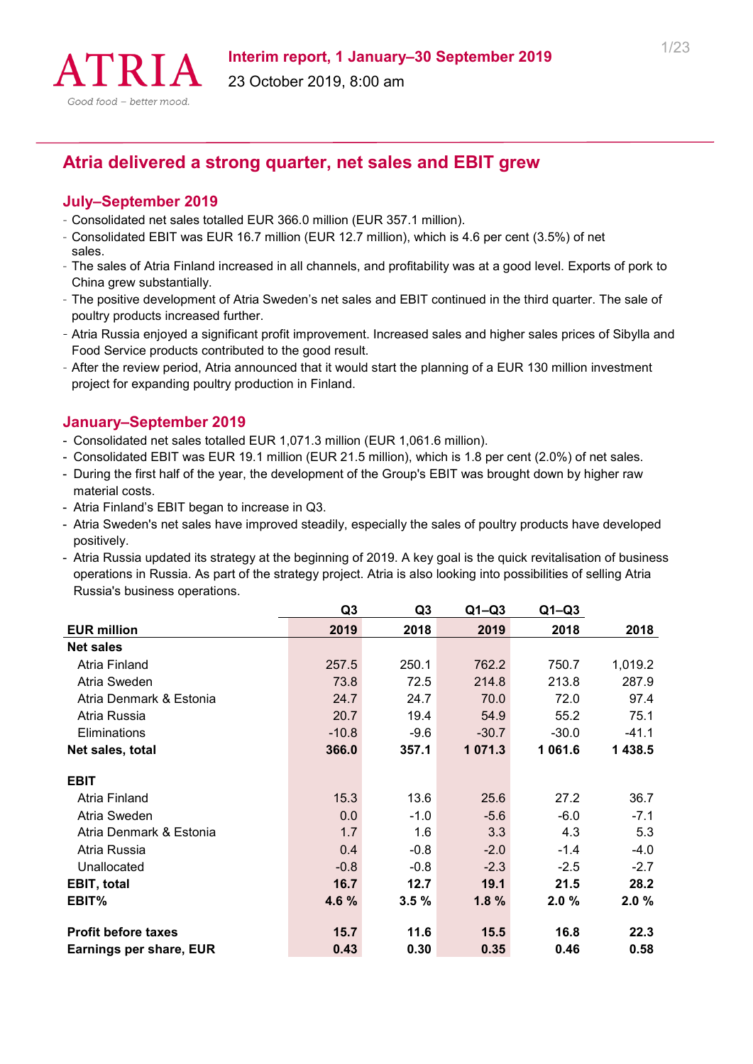

# **Atria delivered a strong quarter, net sales and EBIT grew**

#### **July–September 2019**

- Consolidated net sales totalled EUR 366.0 million (EUR 357.1 million).
- Consolidated EBIT was EUR 16.7 million (EUR 12.7 million), which is 4.6 per cent (3.5%) of net sales.
- The sales of Atria Finland increased in all channels, and profitability was at a good level. Exports of pork to China grew substantially.
- The positive development of Atria Sweden's net sales and EBIT continued in the third quarter. The sale of poultry products increased further.
- Atria Russia enjoyed a significant profit improvement. Increased sales and higher sales prices of Sibylla and Food Service products contributed to the good result.
- After the review period, Atria announced that it would start the planning of a EUR 130 million investment project for expanding poultry production in Finland.

### **January–September 2019**

- Consolidated net sales totalled EUR 1,071.3 million (EUR 1,061.6 million).
- Consolidated EBIT was EUR 19.1 million (EUR 21.5 million), which is 1.8 per cent (2.0%) of net sales.
- During the first half of the year, the development of the Group's EBIT was brought down by higher raw material costs.
- Atria Finland's EBIT began to increase in Q3.
- Atria Sweden's net sales have improved steadily, especially the sales of poultry products have developed positively.
- Atria Russia updated its strategy at the beginning of 2019. A key goal is the quick revitalisation of business operations in Russia. As part of the strategy project. Atria is also looking into possibilities of selling Atria Russia's business operations.

|                            | Q <sub>3</sub> | Q3       | $Q1 - Q3$ | $Q1-Q3$ |         |
|----------------------------|----------------|----------|-----------|---------|---------|
| <b>EUR million</b>         | 2019           | 2018     | 2019      | 2018    | 2018    |
| <b>Net sales</b>           |                |          |           |         |         |
| Atria Finland              | 257.5          | 250.1    | 762.2     | 750.7   | 1,019.2 |
| Atria Sweden               | 73.8           | 72.5     | 214.8     | 213.8   | 287.9   |
| Atria Denmark & Estonia    | 24.7           | 24.7     | 70.0      | 72.0    | 97.4    |
| Atria Russia               | 20.7           | 19.4     | 54.9      | 55.2    | 75.1    |
| Eliminations               | $-10.8$        | $-9.6$   | $-30.7$   | $-30.0$ | $-41.1$ |
| Net sales, total           | 366.0          | 357.1    | 1071.3    | 1 061.6 | 1 438.5 |
| <b>EBIT</b>                |                |          |           |         |         |
| Atria Finland              | 15.3           | 13.6     | 25.6      | 27.2    | 36.7    |
| Atria Sweden               | 0.0            | $-1.0$   | $-5.6$    | $-6.0$  | $-7.1$  |
| Atria Denmark & Estonia    | 1.7            | 1.6      | 3.3       | 4.3     | 5.3     |
| Atria Russia               | 0.4            | $-0.8$   | $-2.0$    | $-1.4$  | $-4.0$  |
| Unallocated                | $-0.8$         | $-0.8$   | $-2.3$    | $-2.5$  | $-2.7$  |
| <b>EBIT, total</b>         | 16.7           | 12.7     | 19.1      | 21.5    | 28.2    |
| EBIT%                      | 4.6 %          | $3.5 \%$ | 1.8%      | 2.0%    | 2.0%    |
| <b>Profit before taxes</b> | 15.7           | 11.6     | 15.5      | 16.8    | 22.3    |
| Earnings per share, EUR    | 0.43           | 0.30     | 0.35      | 0.46    | 0.58    |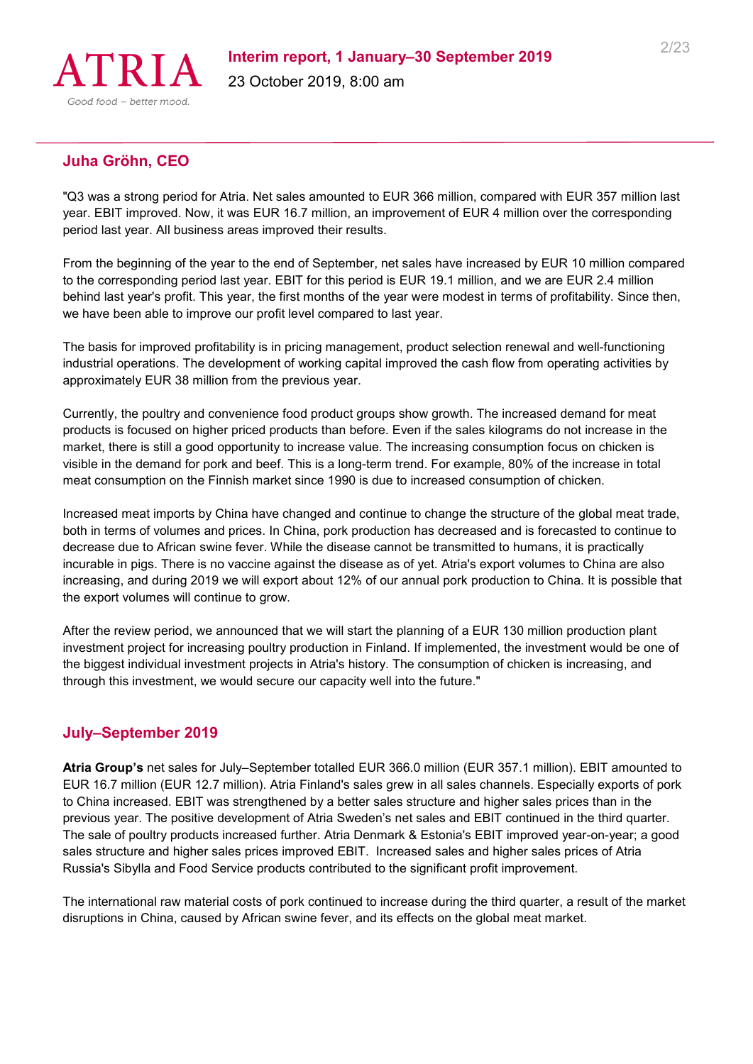

## **Juha Gröhn, CEO**

"Q3 was a strong period for Atria. Net sales amounted to EUR 366 million, compared with EUR 357 million last year. EBIT improved. Now, it was EUR 16.7 million, an improvement of EUR 4 million over the corresponding period last year. All business areas improved their results.

From the beginning of the year to the end of September, net sales have increased by EUR 10 million compared to the corresponding period last year. EBIT for this period is EUR 19.1 million, and we are EUR 2.4 million behind last year's profit. This year, the first months of the year were modest in terms of profitability. Since then, we have been able to improve our profit level compared to last year.

The basis for improved profitability is in pricing management, product selection renewal and well-functioning industrial operations. The development of working capital improved the cash flow from operating activities by approximately EUR 38 million from the previous year.

Currently, the poultry and convenience food product groups show growth. The increased demand for meat products is focused on higher priced products than before. Even if the sales kilograms do not increase in the market, there is still a good opportunity to increase value. The increasing consumption focus on chicken is visible in the demand for pork and beef. This is a long-term trend. For example, 80% of the increase in total meat consumption on the Finnish market since 1990 is due to increased consumption of chicken.

Increased meat imports by China have changed and continue to change the structure of the global meat trade, both in terms of volumes and prices. In China, pork production has decreased and is forecasted to continue to decrease due to African swine fever. While the disease cannot be transmitted to humans, it is practically incurable in pigs. There is no vaccine against the disease as of yet. Atria's export volumes to China are also increasing, and during 2019 we will export about 12% of our annual pork production to China. It is possible that the export volumes will continue to grow.

After the review period, we announced that we will start the planning of a EUR 130 million production plant investment project for increasing poultry production in Finland. If implemented, the investment would be one of the biggest individual investment projects in Atria's history. The consumption of chicken is increasing, and through this investment, we would secure our capacity well into the future."

### **July–September 2019**

**Atria Group's** net sales for July–September totalled EUR 366.0 million (EUR 357.1 million). EBIT amounted to EUR 16.7 million (EUR 12.7 million). Atria Finland's sales grew in all sales channels. Especially exports of pork to China increased. EBIT was strengthened by a better sales structure and higher sales prices than in the previous year. The positive development of Atria Sweden's net sales and EBIT continued in the third quarter. The sale of poultry products increased further. Atria Denmark & Estonia's EBIT improved year-on-year; a good sales structure and higher sales prices improved EBIT. Increased sales and higher sales prices of Atria Russia's Sibylla and Food Service products contributed to the significant profit improvement.

The international raw material costs of pork continued to increase during the third quarter, a result of the market disruptions in China, caused by African swine fever, and its effects on the global meat market.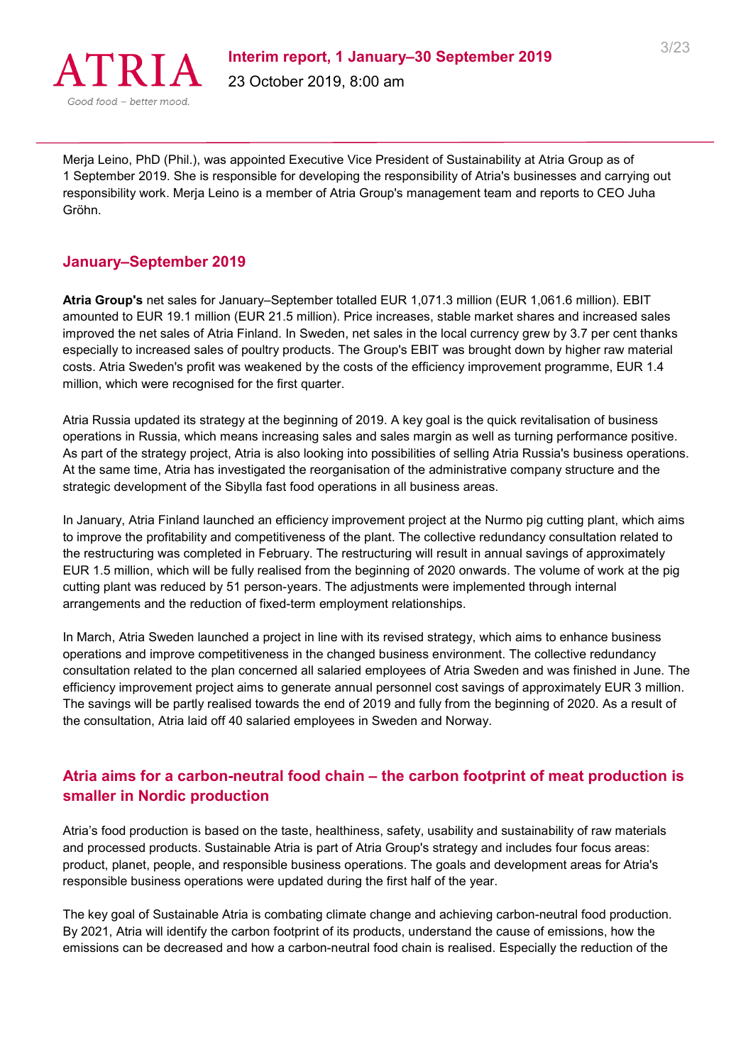

Merja Leino, PhD (Phil.), was appointed Executive Vice President of Sustainability at Atria Group as of 1 September 2019. She is responsible for developing the responsibility of Atria's businesses and carrying out responsibility work. Merja Leino is a member of Atria Group's management team and reports to CEO Juha Gröhn.

#### **January–September 2019**

**Atria Group's** net sales for January–September totalled EUR 1,071.3 million (EUR 1,061.6 million). EBIT amounted to EUR 19.1 million (EUR 21.5 million). Price increases, stable market shares and increased sales improved the net sales of Atria Finland. In Sweden, net sales in the local currency grew by 3.7 per cent thanks especially to increased sales of poultry products. The Group's EBIT was brought down by higher raw material costs. Atria Sweden's profit was weakened by the costs of the efficiency improvement programme, EUR 1.4 million, which were recognised for the first quarter.

Atria Russia updated its strategy at the beginning of 2019. A key goal is the quick revitalisation of business operations in Russia, which means increasing sales and sales margin as well as turning performance positive. As part of the strategy project, Atria is also looking into possibilities of selling Atria Russia's business operations. At the same time, Atria has investigated the reorganisation of the administrative company structure and the strategic development of the Sibylla fast food operations in all business areas.

In January, Atria Finland launched an efficiency improvement project at the Nurmo pig cutting plant, which aims to improve the profitability and competitiveness of the plant. The collective redundancy consultation related to the restructuring was completed in February. The restructuring will result in annual savings of approximately EUR 1.5 million, which will be fully realised from the beginning of 2020 onwards. The volume of work at the pig cutting plant was reduced by 51 person-years. The adjustments were implemented through internal arrangements and the reduction of fixed-term employment relationships.

In March, Atria Sweden launched a project in line with its revised strategy, which aims to enhance business operations and improve competitiveness in the changed business environment. The collective redundancy consultation related to the plan concerned all salaried employees of Atria Sweden and was finished in June. The efficiency improvement project aims to generate annual personnel cost savings of approximately EUR 3 million. The savings will be partly realised towards the end of 2019 and fully from the beginning of 2020. As a result of the consultation, Atria laid off 40 salaried employees in Sweden and Norway.

# **Atria aims for a carbon-neutral food chain – the carbon footprint of meat production is smaller in Nordic production**

Atria's food production is based on the taste, healthiness, safety, usability and sustainability of raw materials and processed products. Sustainable Atria is part of Atria Group's strategy and includes four focus areas: product, planet, people, and responsible business operations. The goals and development areas for Atria's responsible business operations were updated during the first half of the year.

The key goal of Sustainable Atria is combating climate change and achieving carbon-neutral food production. By 2021, Atria will identify the carbon footprint of its products, understand the cause of emissions, how the emissions can be decreased and how a carbon-neutral food chain is realised. Especially the reduction of the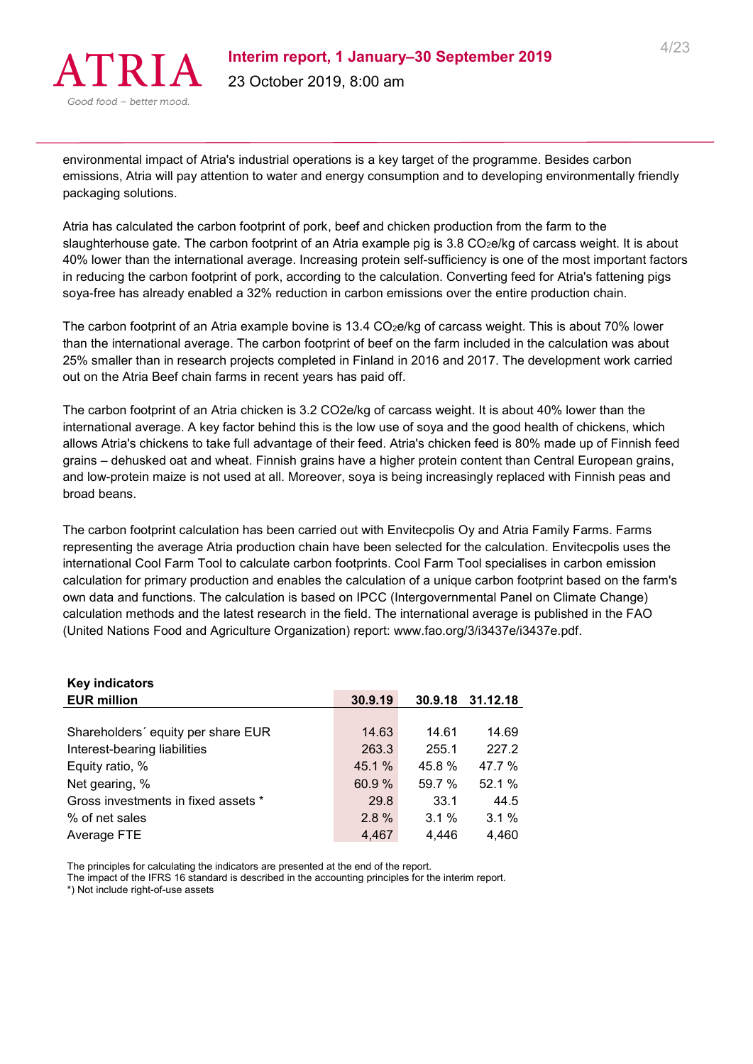

environmental impact of Atria's industrial operations is a key target of the programme. Besides carbon emissions, Atria will pay attention to water and energy consumption and to developing environmentally friendly packaging solutions.

Atria has calculated the carbon footprint of pork, beef and chicken production from the farm to the slaughterhouse gate. The carbon footprint of an Atria example pig is 3.8 CO<sub>2</sub>e/kg of carcass weight. It is about 40% lower than the international average. Increasing protein self-sufficiency is one of the most important factors in reducing the carbon footprint of pork, according to the calculation. Converting feed for Atria's fattening pigs soya-free has already enabled a 32% reduction in carbon emissions over the entire production chain.

The carbon footprint of an Atria example bovine is 13.4 CO<sub>2</sub>e/kg of carcass weight. This is about 70% lower than the international average. The carbon footprint of beef on the farm included in the calculation was about 25% smaller than in research projects completed in Finland in 2016 and 2017. The development work carried out on the Atria Beef chain farms in recent years has paid off.

The carbon footprint of an Atria chicken is 3.2 CO2e/kg of carcass weight. It is about 40% lower than the international average. A key factor behind this is the low use of soya and the good health of chickens, which allows Atria's chickens to take full advantage of their feed. Atria's chicken feed is 80% made up of Finnish feed grains – dehusked oat and wheat. Finnish grains have a higher protein content than Central European grains, and low-protein maize is not used at all. Moreover, soya is being increasingly replaced with Finnish peas and broad beans.

The carbon footprint calculation has been carried out with Envitecpolis Oy and Atria Family Farms. Farms representing the average Atria production chain have been selected for the calculation. Envitecpolis uses the international Cool Farm Tool to calculate carbon footprints. Cool Farm Tool specialises in carbon emission calculation for primary production and enables the calculation of a unique carbon footprint based on the farm's own data and functions. The calculation is based on IPCC (Intergovernmental Panel on Climate Change) calculation methods and the latest research in the field. The international average is published in the FAO (United Nations Food and Agriculture Organization) report: www.fao.org/3/i3437e/i3437e.pdf.

| 30.9.19 |        | 30.9.18 31.12.18 |
|---------|--------|------------------|
|         |        |                  |
| 14.63   | 14.61  | 14.69            |
| 263.3   | 255.1  | 227.2            |
| 45.1 %  | 45.8%  | 47.7 %           |
| 60.9 %  | 59.7 % | 52.1%            |
| 29.8    | 33.1   | 44.5             |
| 2.8%    | 3.1%   | $3.1\%$          |
| 4,467   | 4,446  | 4,460            |
|         |        |                  |

The principles for calculating the indicators are presented at the end of the report.

The impact of the IFRS 16 standard is described in the accounting principles for the interim report.

\*) Not include right-of-use assets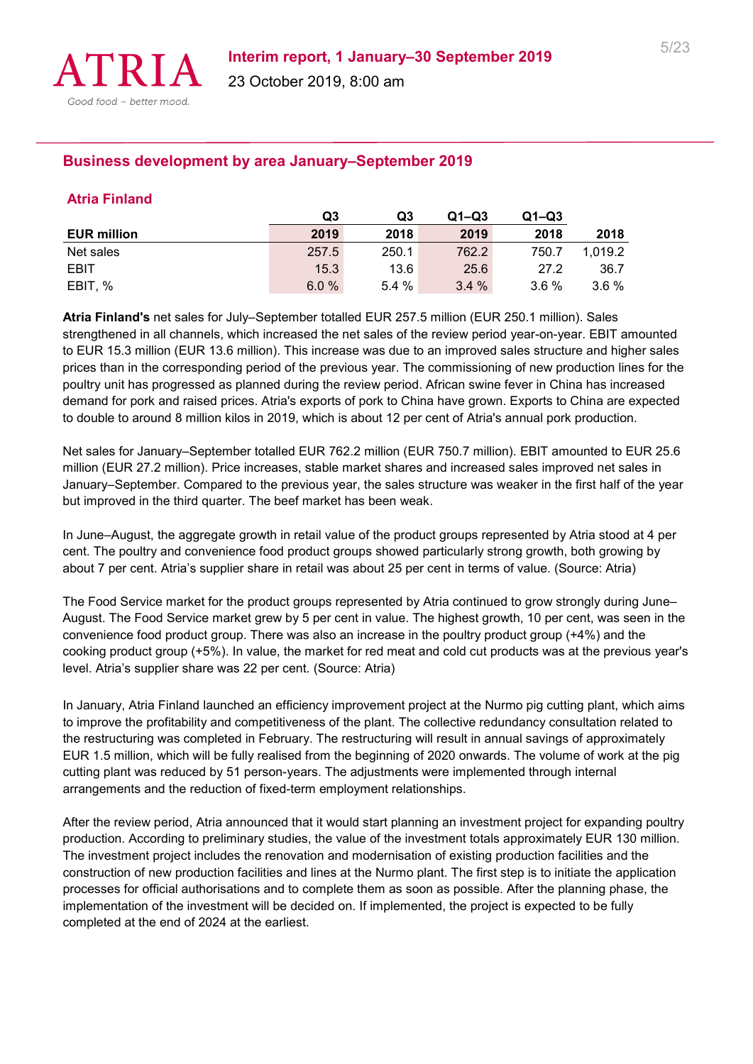

# **Business development by area January–September 2019**

#### **Atria Finland**

|                    | Q3    | Q3    | $Q1 - Q3$ | $Q1 - Q3$ |         |
|--------------------|-------|-------|-----------|-----------|---------|
| <b>EUR million</b> | 2019  | 2018  | 2019      | 2018      | 2018    |
| Net sales          | 257.5 | 250.1 | 762.2     | 750.7     | 1.019.2 |
| EBIT               | 15.3  | 13.6  | 25.6      | 27.2      | 36.7    |
| EBIT, %            | 6.0%  | 5.4%  | 3.4%      | $3.6\%$   | $3.6\%$ |

**Atria Finland's** net sales for July–September totalled EUR 257.5 million (EUR 250.1 million). Sales strengthened in all channels, which increased the net sales of the review period year-on-year. EBIT amounted to EUR 15.3 million (EUR 13.6 million). This increase was due to an improved sales structure and higher sales prices than in the corresponding period of the previous year. The commissioning of new production lines for the poultry unit has progressed as planned during the review period. African swine fever in China has increased demand for pork and raised prices. Atria's exports of pork to China have grown. Exports to China are expected to double to around 8 million kilos in 2019, which is about 12 per cent of Atria's annual pork production.

Net sales for January–September totalled EUR 762.2 million (EUR 750.7 million). EBIT amounted to EUR 25.6 million (EUR 27.2 million). Price increases, stable market shares and increased sales improved net sales in January–September. Compared to the previous year, the sales structure was weaker in the first half of the year but improved in the third quarter. The beef market has been weak.

In June–August, the aggregate growth in retail value of the product groups represented by Atria stood at 4 per cent. The poultry and convenience food product groups showed particularly strong growth, both growing by about 7 per cent. Atria's supplier share in retail was about 25 per cent in terms of value. (Source: Atria)

The Food Service market for the product groups represented by Atria continued to grow strongly during June– August. The Food Service market grew by 5 per cent in value. The highest growth, 10 per cent, was seen in the convenience food product group. There was also an increase in the poultry product group (+4%) and the cooking product group (+5%). In value, the market for red meat and cold cut products was at the previous year's level. Atria's supplier share was 22 per cent. (Source: Atria)

In January, Atria Finland launched an efficiency improvement project at the Nurmo pig cutting plant, which aims to improve the profitability and competitiveness of the plant. The collective redundancy consultation related to the restructuring was completed in February. The restructuring will result in annual savings of approximately EUR 1.5 million, which will be fully realised from the beginning of 2020 onwards. The volume of work at the pig cutting plant was reduced by 51 person-years. The adjustments were implemented through internal arrangements and the reduction of fixed-term employment relationships.

After the review period, Atria announced that it would start planning an investment project for expanding poultry production. According to preliminary studies, the value of the investment totals approximately EUR 130 million. The investment project includes the renovation and modernisation of existing production facilities and the construction of new production facilities and lines at the Nurmo plant. The first step is to initiate the application processes for official authorisations and to complete them as soon as possible. After the planning phase, the implementation of the investment will be decided on. If implemented, the project is expected to be fully completed at the end of 2024 at the earliest.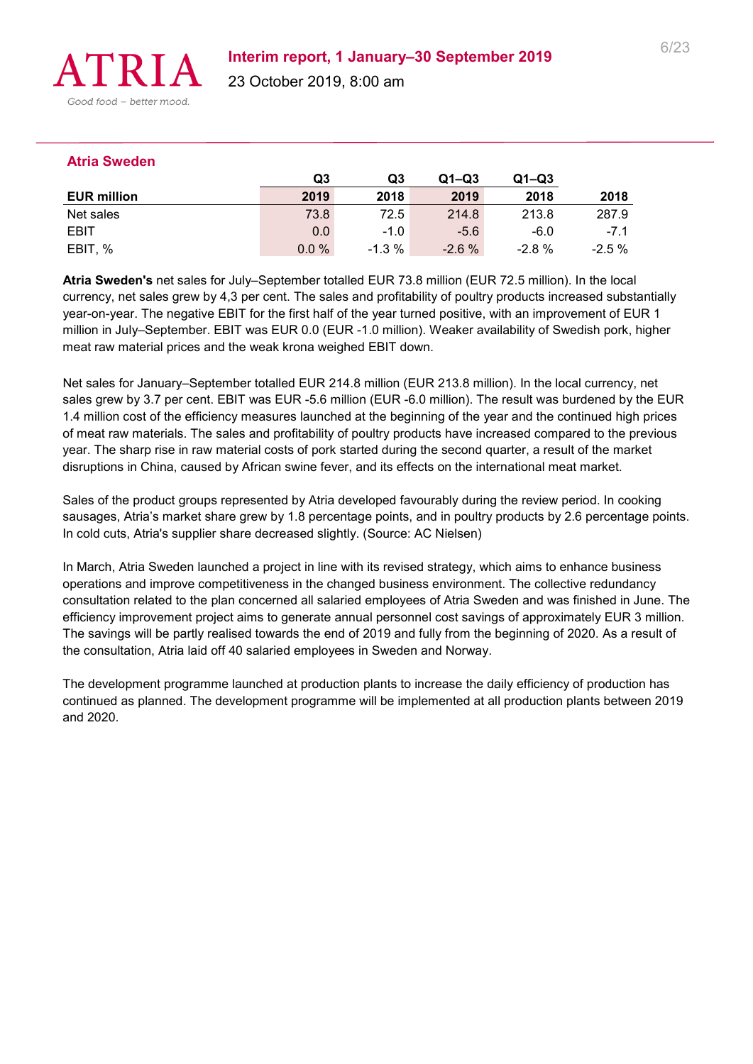

#### **Atria Sweden**

|                    | Q3   | Q3       | $Q1 - Q3$ | $Q1 - Q3$ |          |
|--------------------|------|----------|-----------|-----------|----------|
| <b>EUR million</b> | 2019 | 2018     | 2019      | 2018      | 2018     |
| Net sales          | 73.8 | 72.5     | 214.8     | 213.8     | 287.9    |
| <b>EBIT</b>        | 0.0  | $-1.0$   | $-5.6$    | $-6.0$    | $-7.1$   |
| EBIT, %            | 0.0% | $-1.3\%$ | $-2.6%$   | -2.8 %    | $-2.5\%$ |

**Atria Sweden's** net sales for July–September totalled EUR 73.8 million (EUR 72.5 million). In the local currency, net sales grew by 4,3 per cent. The sales and profitability of poultry products increased substantially year-on-year. The negative EBIT for the first half of the year turned positive, with an improvement of EUR 1 million in July–September. EBIT was EUR 0.0 (EUR -1.0 million). Weaker availability of Swedish pork, higher meat raw material prices and the weak krona weighed EBIT down.

Net sales for January–September totalled EUR 214.8 million (EUR 213.8 million). In the local currency, net sales grew by 3.7 per cent. EBIT was EUR -5.6 million (EUR -6.0 million). The result was burdened by the EUR 1.4 million cost of the efficiency measures launched at the beginning of the year and the continued high prices of meat raw materials. The sales and profitability of poultry products have increased compared to the previous year. The sharp rise in raw material costs of pork started during the second quarter, a result of the market disruptions in China, caused by African swine fever, and its effects on the international meat market.

Sales of the product groups represented by Atria developed favourably during the review period. In cooking sausages, Atria's market share grew by 1.8 percentage points, and in poultry products by 2.6 percentage points. In cold cuts, Atria's supplier share decreased slightly. (Source: AC Nielsen)

In March, Atria Sweden launched a project in line with its revised strategy, which aims to enhance business operations and improve competitiveness in the changed business environment. The collective redundancy consultation related to the plan concerned all salaried employees of Atria Sweden and was finished in June. The efficiency improvement project aims to generate annual personnel cost savings of approximately EUR 3 million. The savings will be partly realised towards the end of 2019 and fully from the beginning of 2020. As a result of the consultation, Atria laid off 40 salaried employees in Sweden and Norway.

The development programme launched at production plants to increase the daily efficiency of production has continued as planned. The development programme will be implemented at all production plants between 2019 and 2020.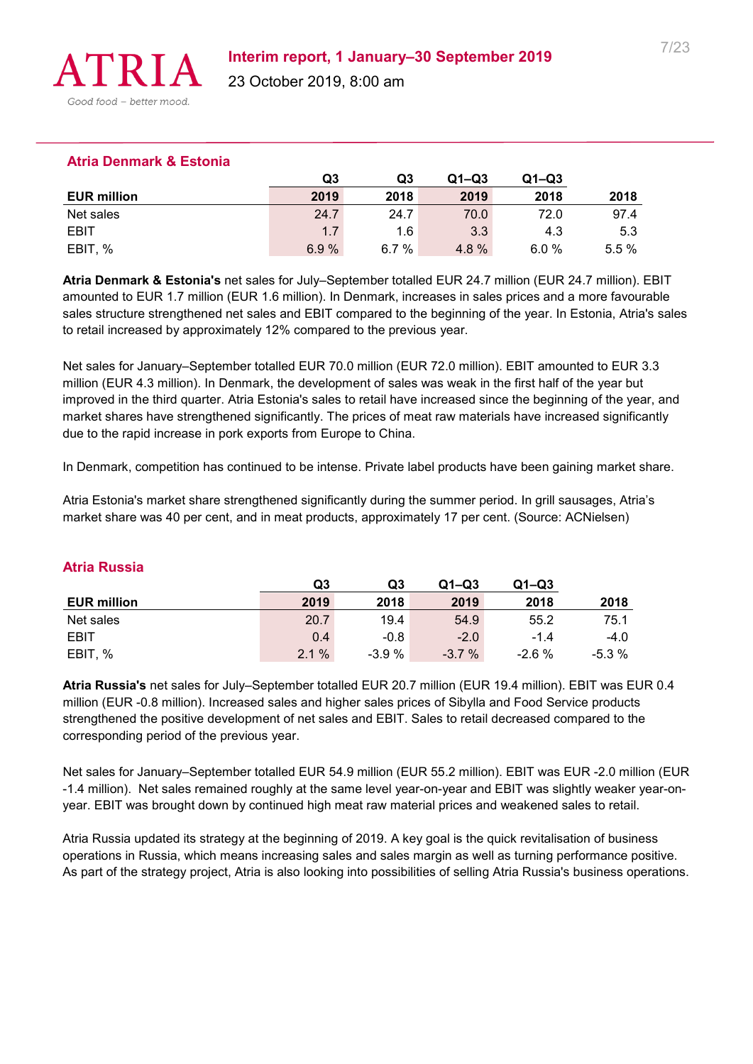

#### **Atria Denmark & Estonia**

|                    | Q3   | Q3   | $Q1 - Q3$ | $Q1 - Q3$ |       |
|--------------------|------|------|-----------|-----------|-------|
| <b>EUR million</b> | 2019 | 2018 | 2019      | 2018      | 2018  |
| Net sales          | 24.7 | 24.7 | 70.0      | 72.0      | 97.4  |
| <b>EBIT</b>        | 1.7  | 1.6  | 3.3       | 4.3       | 5.3   |
| <b>EBIT</b><br>. % | 6.9% | 6.7% | 4.8%      | 6.0%      | 5.5 % |

**Atria Denmark & Estonia's** net sales for July–September totalled EUR 24.7 million (EUR 24.7 million). EBIT amounted to EUR 1.7 million (EUR 1.6 million). In Denmark, increases in sales prices and a more favourable sales structure strengthened net sales and EBIT compared to the beginning of the year. In Estonia, Atria's sales to retail increased by approximately 12% compared to the previous year.

Net sales for January–September totalled EUR 70.0 million (EUR 72.0 million). EBIT amounted to EUR 3.3 million (EUR 4.3 million). In Denmark, the development of sales was weak in the first half of the year but improved in the third quarter. Atria Estonia's sales to retail have increased since the beginning of the year, and market shares have strengthened significantly. The prices of meat raw materials have increased significantly due to the rapid increase in pork exports from Europe to China.

In Denmark, competition has continued to be intense. Private label products have been gaining market share.

Atria Estonia's market share strengthened significantly during the summer period. In grill sausages, Atria's market share was 40 per cent, and in meat products, approximately 17 per cent. (Source: ACNielsen)

|                    | Q3   | Q3     | $Q1 - Q3$ | $Q1 - Q3$ |        |
|--------------------|------|--------|-----------|-----------|--------|
| <b>EUR million</b> | 2019 | 2018   | 2019      | 2018      | 2018   |
| Net sales          | 20.7 | 19.4   | 54.9      | 55.2      | 75.1   |
| EBIT               | 0.4  | $-0.8$ | $-2.0$    | $-1.4$    | $-4.0$ |
| EBIT, %            | 2.1% | -3.9 % | $-3.7%$   | $-2.6%$   | -5.3 % |

#### **Atria Russia**

**Atria Russia's** net sales for July–September totalled EUR 20.7 million (EUR 19.4 million). EBIT was EUR 0.4 million (EUR -0.8 million). Increased sales and higher sales prices of Sibylla and Food Service products strengthened the positive development of net sales and EBIT. Sales to retail decreased compared to the corresponding period of the previous year.

Net sales for January–September totalled EUR 54.9 million (EUR 55.2 million). EBIT was EUR -2.0 million (EUR -1.4 million). Net sales remained roughly at the same level year-on-year and EBIT was slightly weaker year-onyear. EBIT was brought down by continued high meat raw material prices and weakened sales to retail.

Atria Russia updated its strategy at the beginning of 2019. A key goal is the quick revitalisation of business operations in Russia, which means increasing sales and sales margin as well as turning performance positive. As part of the strategy project, Atria is also looking into possibilities of selling Atria Russia's business operations.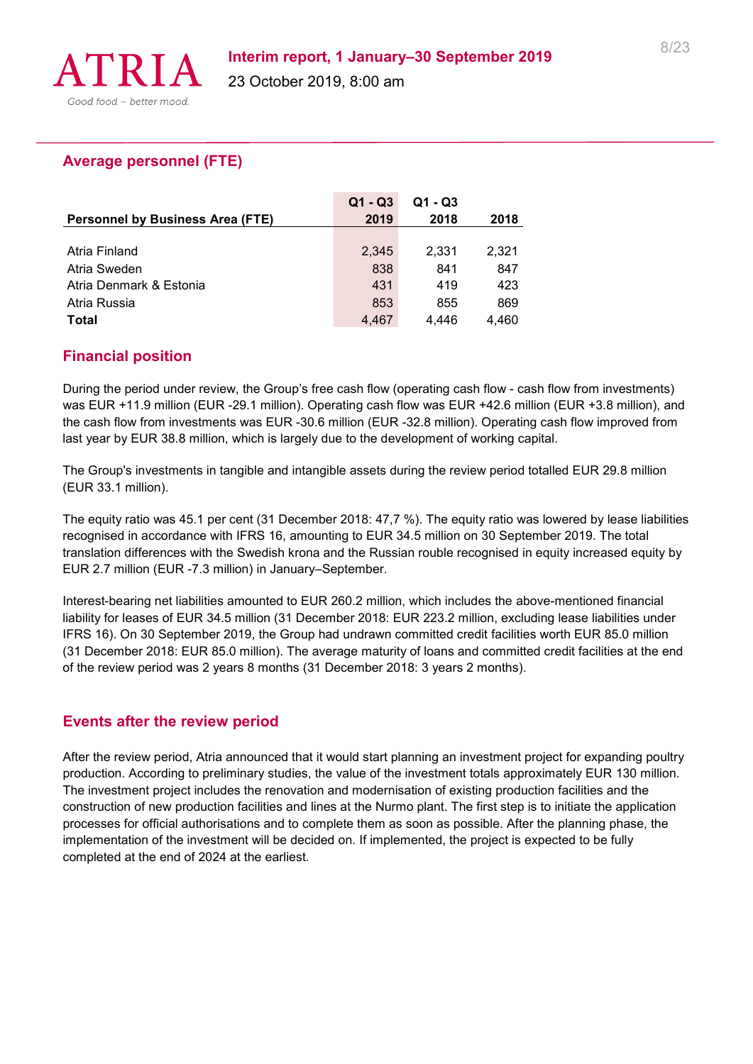

# **Average personnel (FTE)**

|                                         | $Q1 - Q3$ | $Q1 - Q3$ |       |
|-----------------------------------------|-----------|-----------|-------|
| <b>Personnel by Business Area (FTE)</b> | 2019      | 2018      | 2018  |
|                                         |           |           |       |
| Atria Finland                           | 2,345     | 2.331     | 2.321 |
| Atria Sweden                            | 838       | 841       | 847   |
| Atria Denmark & Estonia                 | 431       | 419       | 423   |
| Atria Russia                            | 853       | 855       | 869   |
| Total                                   | 4.467     | 4.446     | 4.460 |

# **Financial position**

During the period under review, the Group's free cash flow (operating cash flow - cash flow from investments) was EUR +11.9 million (EUR -29.1 million). Operating cash flow was EUR +42.6 million (EUR +3.8 million), and the cash flow from investments was EUR -30.6 million (EUR -32.8 million). Operating cash flow improved from last year by EUR 38.8 million, which is largely due to the development of working capital.

The Group's investments in tangible and intangible assets during the review period totalled EUR 29.8 million (EUR 33.1 million).

The equity ratio was 45.1 per cent (31 December 2018: 47,7 %). The equity ratio was lowered by lease liabilities recognised in accordance with IFRS 16, amounting to EUR 34.5 million on 30 September 2019. The total translation differences with the Swedish krona and the Russian rouble recognised in equity increased equity by EUR 2.7 million (EUR -7.3 million) in January–September.

Interest-bearing net liabilities amounted to EUR 260.2 million, which includes the above-mentioned financial liability for leases of EUR 34.5 million (31 December 2018: EUR 223.2 million, excluding lease liabilities under IFRS 16). On 30 September 2019, the Group had undrawn committed credit facilities worth EUR 85.0 million (31 December 2018: EUR 85.0 million). The average maturity of loans and committed credit facilities at the end of the review period was 2 years 8 months (31 December 2018: 3 years 2 months).

### **Events after the review period**

After the review period, Atria announced that it would start planning an investment project for expanding poultry production. According to preliminary studies, the value of the investment totals approximately EUR 130 million. The investment project includes the renovation and modernisation of existing production facilities and the construction of new production facilities and lines at the Nurmo plant. The first step is to initiate the application processes for official authorisations and to complete them as soon as possible. After the planning phase, the implementation of the investment will be decided on. If implemented, the project is expected to be fully completed at the end of 2024 at the earliest.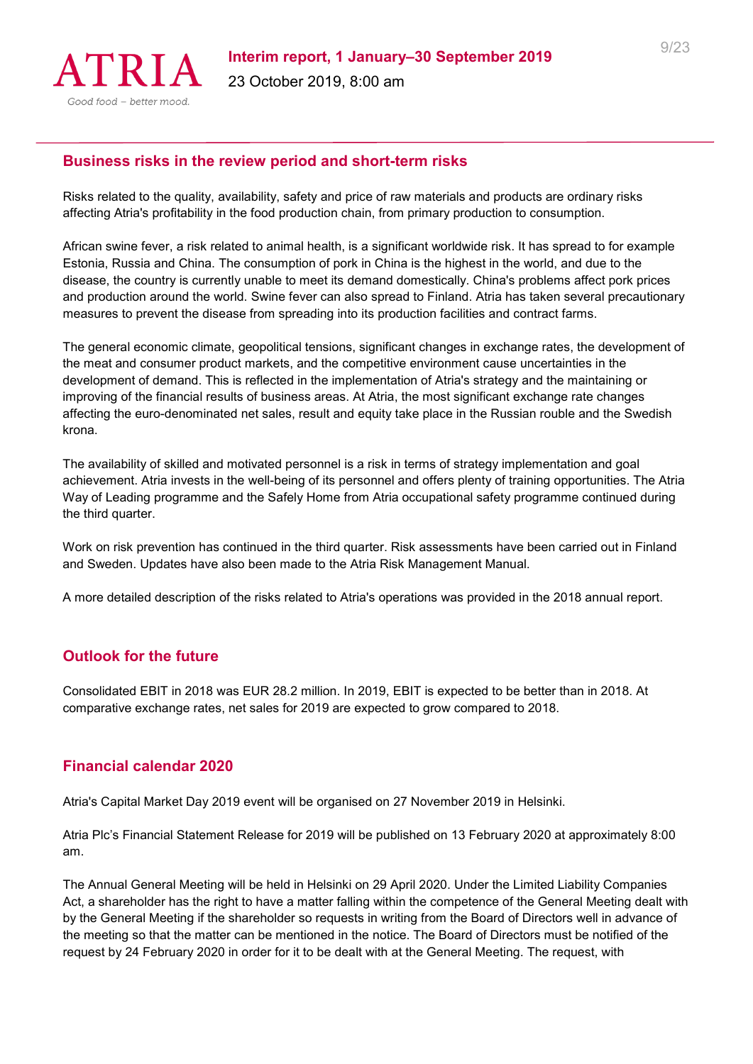

#### **Business risks in the review period and short-term risks**

Risks related to the quality, availability, safety and price of raw materials and products are ordinary risks affecting Atria's profitability in the food production chain, from primary production to consumption.

African swine fever, a risk related to animal health, is a significant worldwide risk. It has spread to for example Estonia, Russia and China. The consumption of pork in China is the highest in the world, and due to the disease, the country is currently unable to meet its demand domestically. China's problems affect pork prices and production around the world. Swine fever can also spread to Finland. Atria has taken several precautionary measures to prevent the disease from spreading into its production facilities and contract farms.

The general economic climate, geopolitical tensions, significant changes in exchange rates, the development of the meat and consumer product markets, and the competitive environment cause uncertainties in the development of demand. This is reflected in the implementation of Atria's strategy and the maintaining or improving of the financial results of business areas. At Atria, the most significant exchange rate changes affecting the euro-denominated net sales, result and equity take place in the Russian rouble and the Swedish krona.

The availability of skilled and motivated personnel is a risk in terms of strategy implementation and goal achievement. Atria invests in the well-being of its personnel and offers plenty of training opportunities. The Atria Way of Leading programme and the Safely Home from Atria occupational safety programme continued during the third quarter.

Work on risk prevention has continued in the third quarter. Risk assessments have been carried out in Finland and Sweden. Updates have also been made to the Atria Risk Management Manual.

A more detailed description of the risks related to Atria's operations was provided in the 2018 annual report.

### **Outlook for the future**

Consolidated EBIT in 2018 was EUR 28.2 million. In 2019, EBIT is expected to be better than in 2018. At comparative exchange rates, net sales for 2019 are expected to grow compared to 2018.

### **Financial calendar 2020**

Atria's Capital Market Day 2019 event will be organised on 27 November 2019 in Helsinki.

Atria Plc's Financial Statement Release for 2019 will be published on 13 February 2020 at approximately 8:00 am.

The Annual General Meeting will be held in Helsinki on 29 April 2020. Under the Limited Liability Companies Act, a shareholder has the right to have a matter falling within the competence of the General Meeting dealt with by the General Meeting if the shareholder so requests in writing from the Board of Directors well in advance of the meeting so that the matter can be mentioned in the notice. The Board of Directors must be notified of the request by 24 February 2020 in order for it to be dealt with at the General Meeting. The request, with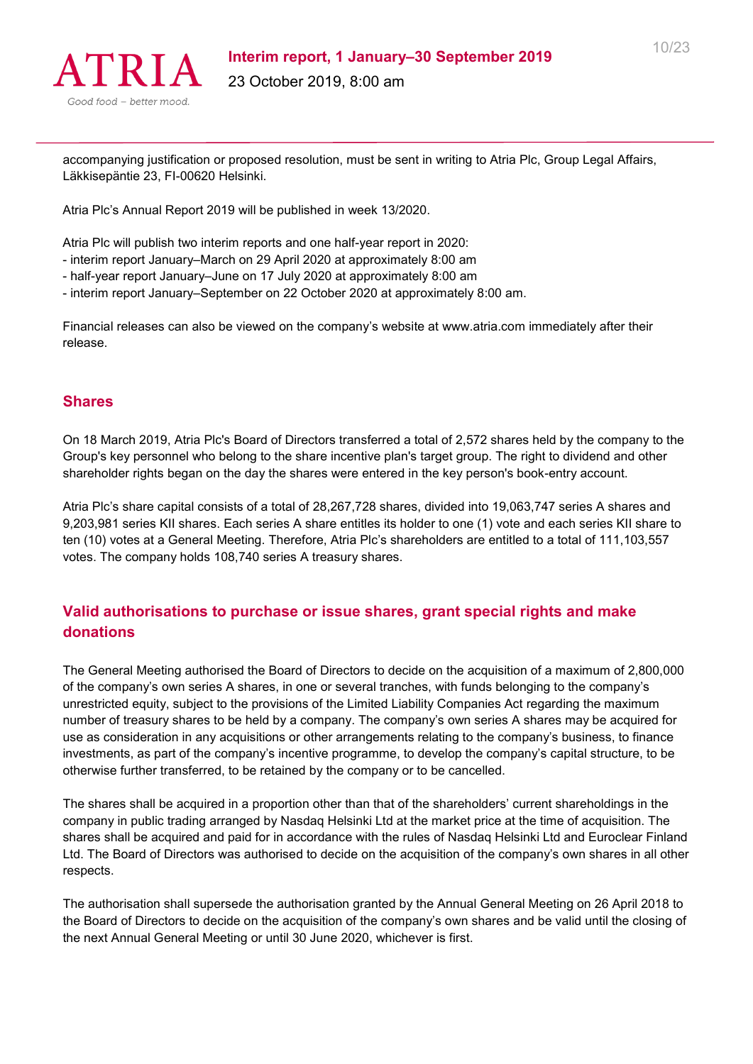

accompanying justification or proposed resolution, must be sent in writing to Atria Plc, Group Legal Affairs, Läkkisepäntie 23, FI-00620 Helsinki.

Atria Plc's Annual Report 2019 will be published in week 13/2020.

Atria Plc will publish two interim reports and one half-year report in 2020:

- interim report January–March on 29 April 2020 at approximately 8:00 am
- half-year report January–June on 17 July 2020 at approximately 8:00 am
- interim report January–September on 22 October 2020 at approximately 8:00 am.

Financial releases can also be viewed on the company's website at www.atria.com immediately after their release.

#### **Shares**

On 18 March 2019, Atria Plc's Board of Directors transferred a total of 2,572 shares held by the company to the Group's key personnel who belong to the share incentive plan's target group. The right to dividend and other shareholder rights began on the day the shares were entered in the key person's book-entry account.

Atria Plc's share capital consists of a total of 28,267,728 shares, divided into 19,063,747 series A shares and 9,203,981 series KII shares. Each series A share entitles its holder to one (1) vote and each series KII share to ten (10) votes at a General Meeting. Therefore, Atria Plc's shareholders are entitled to a total of 111,103,557 votes. The company holds 108,740 series A treasury shares.

# **Valid authorisations to purchase or issue shares, grant special rights and make donations**

The General Meeting authorised the Board of Directors to decide on the acquisition of a maximum of 2,800,000 of the company's own series A shares, in one or several tranches, with funds belonging to the company's unrestricted equity, subject to the provisions of the Limited Liability Companies Act regarding the maximum number of treasury shares to be held by a company. The company's own series A shares may be acquired for use as consideration in any acquisitions or other arrangements relating to the company's business, to finance investments, as part of the company's incentive programme, to develop the company's capital structure, to be otherwise further transferred, to be retained by the company or to be cancelled.

The shares shall be acquired in a proportion other than that of the shareholders' current shareholdings in the company in public trading arranged by Nasdaq Helsinki Ltd at the market price at the time of acquisition. The shares shall be acquired and paid for in accordance with the rules of Nasdaq Helsinki Ltd and Euroclear Finland Ltd. The Board of Directors was authorised to decide on the acquisition of the company's own shares in all other respects.

The authorisation shall supersede the authorisation granted by the Annual General Meeting on 26 April 2018 to the Board of Directors to decide on the acquisition of the company's own shares and be valid until the closing of the next Annual General Meeting or until 30 June 2020, whichever is first.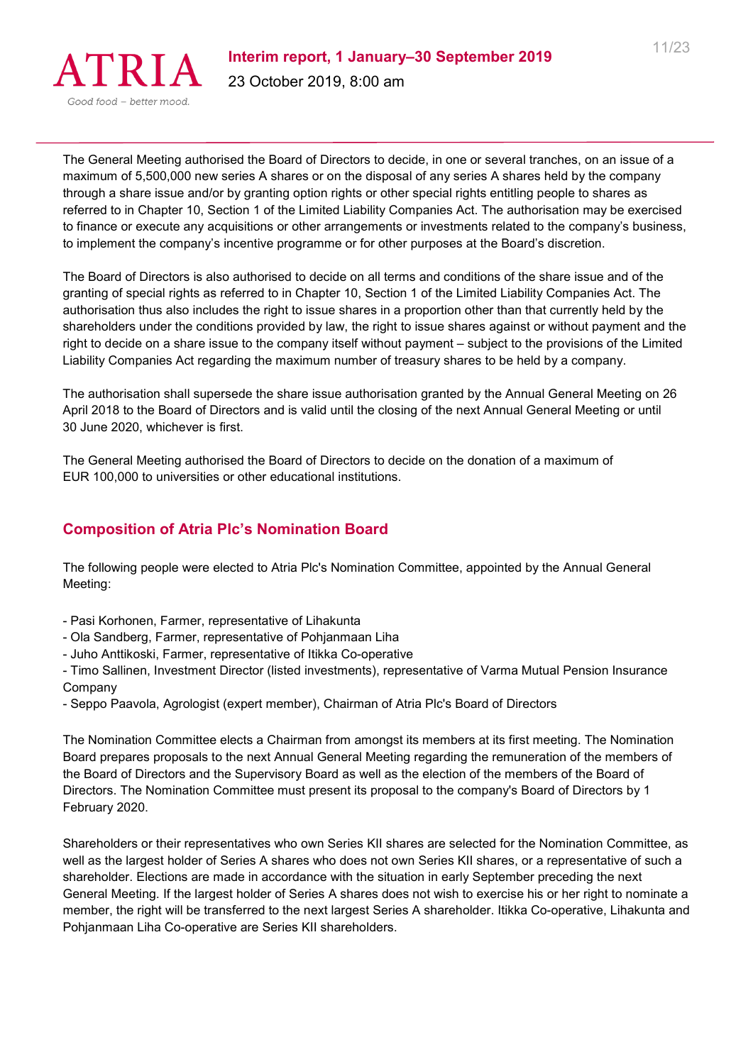

The General Meeting authorised the Board of Directors to decide, in one or several tranches, on an issue of a maximum of 5,500,000 new series A shares or on the disposal of any series A shares held by the company through a share issue and/or by granting option rights or other special rights entitling people to shares as referred to in Chapter 10, Section 1 of the Limited Liability Companies Act. The authorisation may be exercised to finance or execute any acquisitions or other arrangements or investments related to the company's business, to implement the company's incentive programme or for other purposes at the Board's discretion.

The Board of Directors is also authorised to decide on all terms and conditions of the share issue and of the granting of special rights as referred to in Chapter 10, Section 1 of the Limited Liability Companies Act. The authorisation thus also includes the right to issue shares in a proportion other than that currently held by the shareholders under the conditions provided by law, the right to issue shares against or without payment and the right to decide on a share issue to the company itself without payment – subject to the provisions of the Limited Liability Companies Act regarding the maximum number of treasury shares to be held by a company.

The authorisation shall supersede the share issue authorisation granted by the Annual General Meeting on 26 April 2018 to the Board of Directors and is valid until the closing of the next Annual General Meeting or until 30 June 2020, whichever is first.

The General Meeting authorised the Board of Directors to decide on the donation of a maximum of EUR 100,000 to universities or other educational institutions.

# **Composition of Atria Plc's Nomination Board**

The following people were elected to Atria Plc's Nomination Committee, appointed by the Annual General Meeting:

- Pasi Korhonen, Farmer, representative of Lihakunta
- Ola Sandberg, Farmer, representative of Pohjanmaan Liha
- Juho Anttikoski, Farmer, representative of Itikka Co-operative

- Timo Sallinen, Investment Director (listed investments), representative of Varma Mutual Pension Insurance Company

- Seppo Paavola, Agrologist (expert member), Chairman of Atria Plc's Board of Directors

The Nomination Committee elects a Chairman from amongst its members at its first meeting. The Nomination Board prepares proposals to the next Annual General Meeting regarding the remuneration of the members of the Board of Directors and the Supervisory Board as well as the election of the members of the Board of Directors. The Nomination Committee must present its proposal to the company's Board of Directors by 1 February 2020.

Shareholders or their representatives who own Series KII shares are selected for the Nomination Committee, as well as the largest holder of Series A shares who does not own Series KII shares, or a representative of such a shareholder. Elections are made in accordance with the situation in early September preceding the next General Meeting. If the largest holder of Series A shares does not wish to exercise his or her right to nominate a member, the right will be transferred to the next largest Series A shareholder. Itikka Co-operative, Lihakunta and Pohjanmaan Liha Co-operative are Series KII shareholders.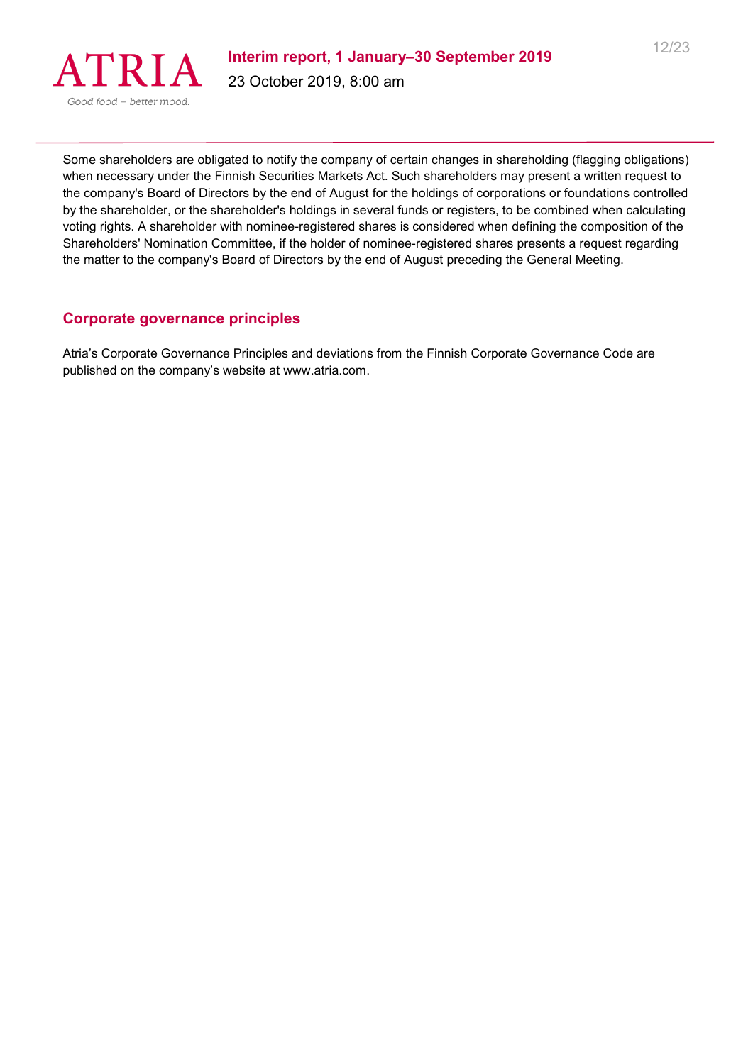

Some shareholders are obligated to notify the company of certain changes in shareholding (flagging obligations) when necessary under the Finnish Securities Markets Act. Such shareholders may present a written request to the company's Board of Directors by the end of August for the holdings of corporations or foundations controlled by the shareholder, or the shareholder's holdings in several funds or registers, to be combined when calculating voting rights. A shareholder with nominee-registered shares is considered when defining the composition of the Shareholders' Nomination Committee, if the holder of nominee-registered shares presents a request regarding the matter to the company's Board of Directors by the end of August preceding the General Meeting.

### **Corporate governance principles**

Atria's Corporate Governance Principles and deviations from the Finnish Corporate Governance Code are published on the company's website at www.atria.com.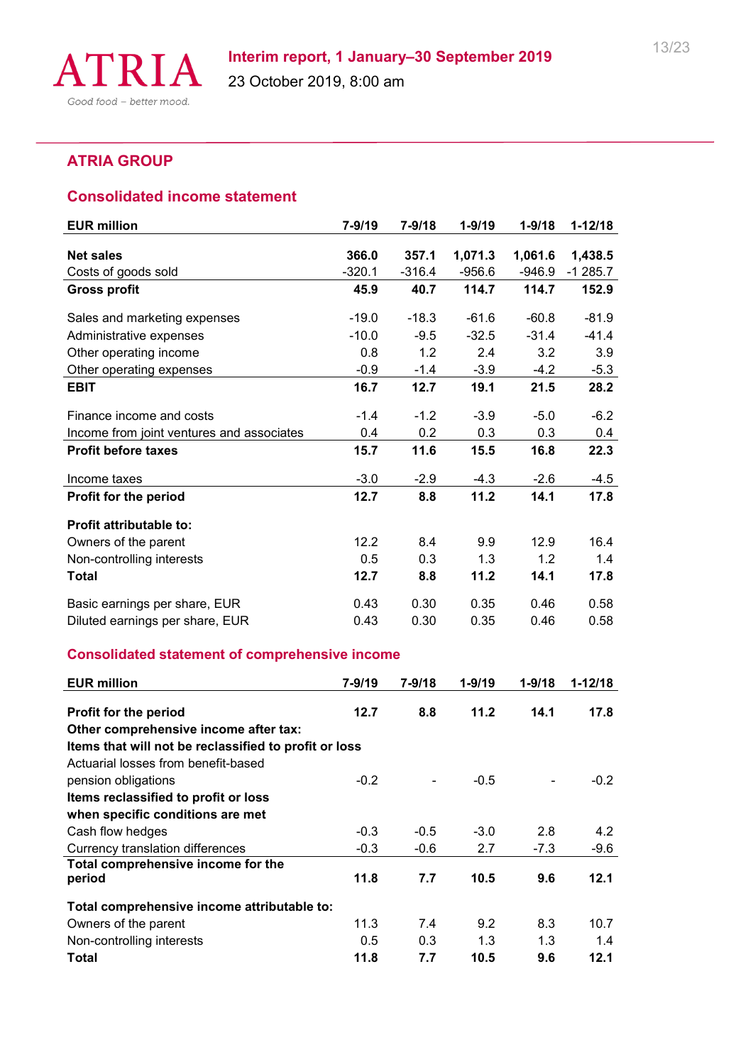

# **ATRIA GROUP**

#### **Consolidated income statement**

| <b>EUR million</b>                        | $7 - 9/19$ | $7 - 9/18$ | $1 - 9/19$ | $1 - 9/18$ | $1 - 12/18$ |
|-------------------------------------------|------------|------------|------------|------------|-------------|
|                                           |            |            |            |            |             |
| <b>Net sales</b>                          | 366.0      | 357.1      | 1,071.3    | 1,061.6    | 1,438.5     |
| Costs of goods sold                       | $-320.1$   | $-316.4$   | -956.6     | $-946.9$   | $-1285.7$   |
| <b>Gross profit</b>                       | 45.9       | 40.7       | 114.7      | 114.7      | 152.9       |
| Sales and marketing expenses              | $-19.0$    | $-18.3$    | $-61.6$    | $-60.8$    | $-81.9$     |
| Administrative expenses                   | $-10.0$    | $-9.5$     | $-32.5$    | $-31.4$    | $-41.4$     |
| Other operating income                    | 0.8        | 1.2        | 2.4        | 3.2        | 3.9         |
| Other operating expenses                  | $-0.9$     | $-1.4$     | $-3.9$     | $-4.2$     | $-5.3$      |
| <b>EBIT</b>                               | 16.7       | 12.7       | 19.1       | 21.5       | 28.2        |
| Finance income and costs                  | $-1.4$     | $-1.2$     | $-3.9$     | $-5.0$     | $-6.2$      |
| Income from joint ventures and associates | 0.4        | 0.2        | 0.3        | 0.3        | 0.4         |
| <b>Profit before taxes</b>                | 15.7       | 11.6       | 15.5       | 16.8       | 22.3        |
| Income taxes                              | $-3.0$     | $-2.9$     | $-4.3$     | $-2.6$     | $-4.5$      |
| Profit for the period                     | 12.7       | 8.8        | 11.2       | 14.1       | 17.8        |
| <b>Profit attributable to:</b>            |            |            |            |            |             |
| Owners of the parent                      | 12.2       | 8.4        | 9.9        | 12.9       | 16.4        |
| Non-controlling interests                 | 0.5        | 0.3        | 1.3        | 1.2        | 1.4         |
| <b>Total</b>                              | 12.7       | 8.8        | 11.2       | 14.1       | 17.8        |
| Basic earnings per share, EUR             | 0.43       | 0.30       | 0.35       | 0.46       | 0.58        |
| Diluted earnings per share, EUR           | 0.43       | 0.30       | 0.35       | 0.46       | 0.58        |

# **Consolidated statement of comprehensive income**

| <b>EUR million</b>                                    | 7-9/19 | 7-9/18 | $1 - 9/19$ | $1 - 9/18$ | $1 - 12/18$ |
|-------------------------------------------------------|--------|--------|------------|------------|-------------|
|                                                       |        |        |            |            |             |
| Profit for the period                                 | 12.7   | 8.8    | 11.2       | 14.1       | 17.8        |
| Other comprehensive income after tax:                 |        |        |            |            |             |
| Items that will not be reclassified to profit or loss |        |        |            |            |             |
| Actuarial losses from benefit-based                   |        |        |            |            |             |
| pension obligations                                   | $-0.2$ |        | $-0.5$     |            | $-0.2$      |
| Items reclassified to profit or loss                  |        |        |            |            |             |
| when specific conditions are met                      |        |        |            |            |             |
| Cash flow hedges                                      | $-0.3$ | $-0.5$ | $-3.0$     | 2.8        | 4.2         |
| Currency translation differences                      | $-0.3$ | $-0.6$ | 2.7        | $-7.3$     | $-9.6$      |
| Total comprehensive income for the                    |        |        |            |            |             |
| period                                                | 11.8   | 7.7    | 10.5       | 9.6        | 12.1        |
| Total comprehensive income attributable to:           |        |        |            |            |             |
| Owners of the parent                                  | 11.3   | 7.4    | 9.2        | 8.3        | 10.7        |
| Non-controlling interests                             | 0.5    | 0.3    | 1.3        | 1.3        | 1.4         |
| Total                                                 | 11.8   | 7.7    | 10.5       | 9.6        | 12.1        |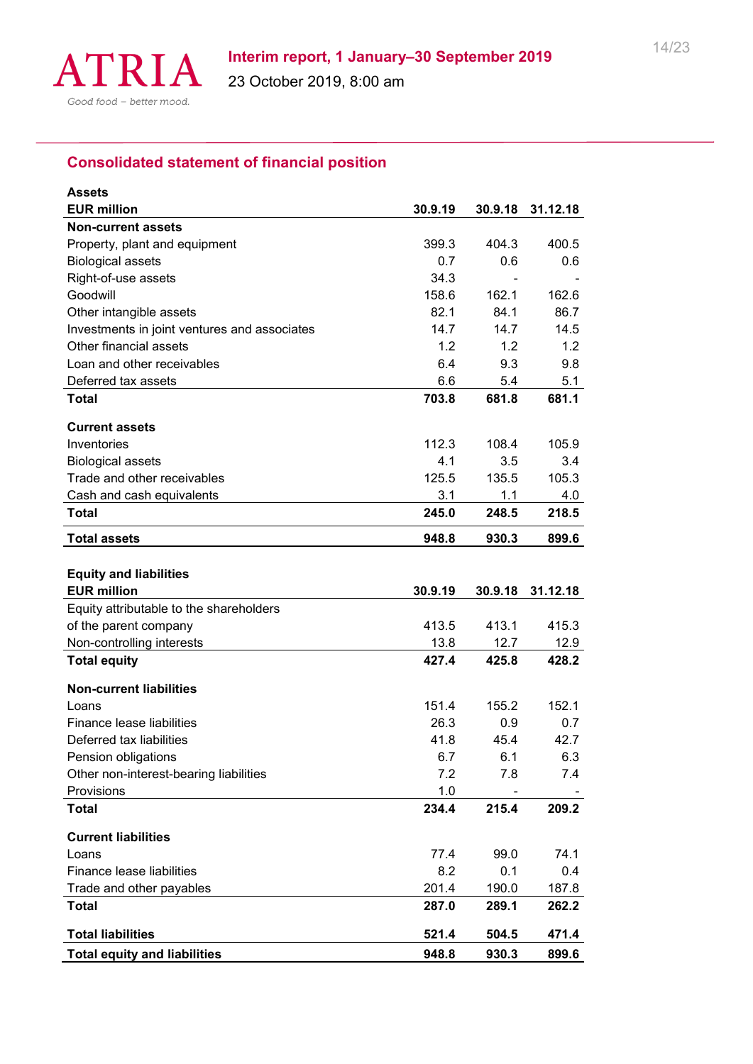

# **Consolidated statement of financial position**

| <b>Assets</b>                                |                |                |                |
|----------------------------------------------|----------------|----------------|----------------|
| <b>EUR million</b>                           | 30.9.19        | 30.9.18        | 31.12.18       |
| <b>Non-current assets</b>                    |                |                |                |
| Property, plant and equipment                | 399.3          | 404.3          | 400.5          |
| <b>Biological assets</b>                     | 0.7            | 0.6            | 0.6            |
| Right-of-use assets                          | 34.3           |                |                |
| Goodwill                                     | 158.6          | 162.1          | 162.6          |
| Other intangible assets                      | 82.1           | 84.1           | 86.7           |
| Investments in joint ventures and associates | 14.7           | 14.7           | 14.5           |
| Other financial assets                       | 1.2            | 1.2            | 1.2            |
| Loan and other receivables                   | 6.4            | 9.3            | 9.8            |
| Deferred tax assets                          | 6.6            | 5.4            | 5.1            |
| <b>Total</b>                                 | 703.8          | 681.8          | 681.1          |
| <b>Current assets</b>                        |                |                |                |
| Inventories                                  | 112.3          | 108.4          | 105.9          |
| <b>Biological assets</b>                     | 4.1            | 3.5            | 3.4            |
| Trade and other receivables                  | 125.5          | 135.5          | 105.3          |
| Cash and cash equivalents                    | 3.1            | 1.1            | 4.0            |
| <b>Total</b>                                 | 245.0          | 248.5          | 218.5          |
| <b>Total assets</b>                          | 948.8          | 930.3          | 899.6          |
|                                              |                |                |                |
|                                              |                |                |                |
| <b>Equity and liabilities</b>                |                |                |                |
| <b>EUR million</b>                           | 30.9.19        | 30.9.18        | 31.12.18       |
| Equity attributable to the shareholders      |                |                |                |
| of the parent company                        | 413.5          | 413.1          | 415.3          |
| Non-controlling interests                    | 13.8           | 12.7           | 12.9           |
| <b>Total equity</b>                          | 427.4          | 425.8          | 428.2          |
| <b>Non-current liabilities</b>               |                |                |                |
| Loans                                        | 151.4          | 155.2          | 152.1          |
| Finance lease liabilities                    | 26.3           | 0.9            | 0.7            |
| Deferred tax liabilities                     | 41.8           | 45.4           | 42.7           |
| Pension obligations                          | 6.7            | 6.1            | 6.3            |
| Other non-interest-bearing liabilities       | 7.2            | 7.8            | 7.4            |
| Provisions                                   | 1.0            |                |                |
| <b>Total</b>                                 | 234.4          | 215.4          | 209.2          |
|                                              |                |                |                |
| <b>Current liabilities</b><br>Loans          |                |                |                |
| Finance lease liabilities                    | 77.4           | 99.0           | 74.1           |
|                                              | 8.2            | 0.1            | 0.4            |
| Trade and other payables<br><b>Total</b>     | 201.4<br>287.0 | 190.0<br>289.1 | 187.8<br>262.2 |
| <b>Total liabilities</b>                     | 521.4          | 504.5          | 471.4          |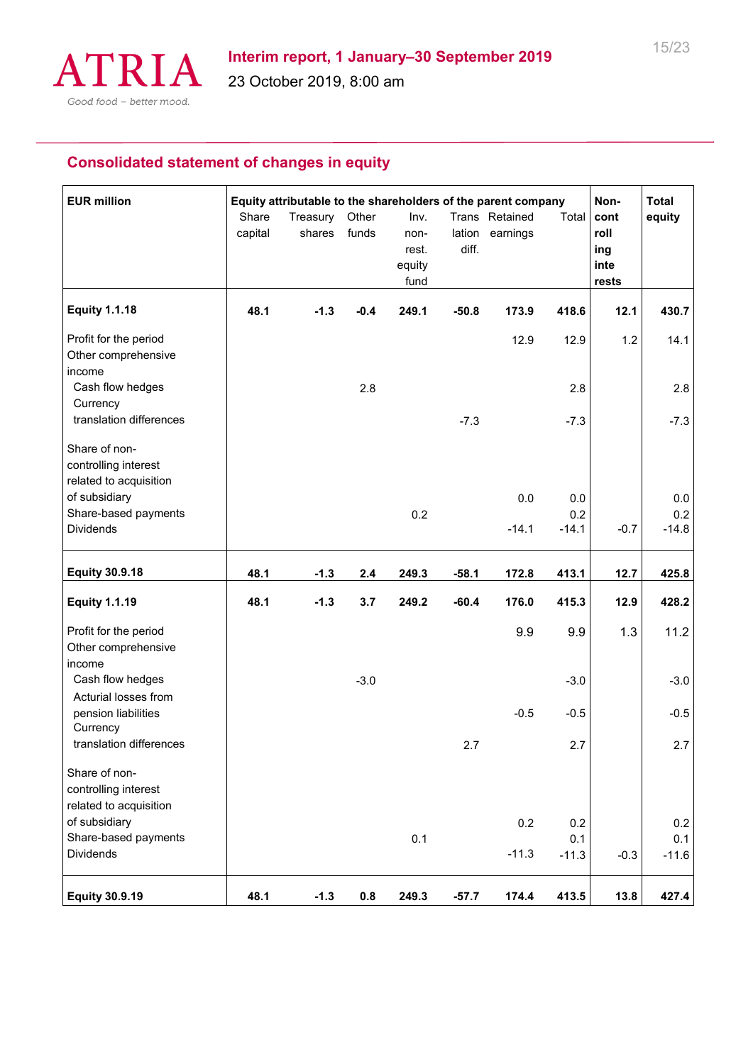

# **Consolidated statement of changes in equity**

| <b>EUR million</b>                                              | Share<br>capital | Equity attributable to the shareholders of the parent company<br>Treasury<br>shares | Other<br>funds | Inv.<br>non-<br>rest.<br>equity<br>fund | lation<br>diff. | Trans Retained<br>earnings | Total      | Non-<br>cont<br>roll<br>ing<br>inte<br>rests | <b>Total</b><br>equity |
|-----------------------------------------------------------------|------------------|-------------------------------------------------------------------------------------|----------------|-----------------------------------------|-----------------|----------------------------|------------|----------------------------------------------|------------------------|
| <b>Equity 1.1.18</b>                                            | 48.1             | $-1.3$                                                                              | $-0.4$         | 249.1                                   | $-50.8$         | 173.9                      | 418.6      | 12.1                                         | 430.7                  |
| Profit for the period<br>Other comprehensive<br>income          |                  |                                                                                     |                |                                         |                 | 12.9                       | 12.9       | 1.2                                          | 14.1                   |
| Cash flow hedges                                                |                  |                                                                                     | 2.8            |                                         |                 |                            | 2.8        |                                              | 2.8                    |
| Currency<br>translation differences                             |                  |                                                                                     |                |                                         | $-7.3$          |                            | $-7.3$     |                                              | $-7.3$                 |
| Share of non-<br>controlling interest<br>related to acquisition |                  |                                                                                     |                |                                         |                 |                            |            |                                              |                        |
| of subsidiary<br>Share-based payments                           |                  |                                                                                     |                | 0.2                                     |                 | 0.0                        | 0.0<br>0.2 |                                              | 0.0<br>0.2             |
| <b>Dividends</b>                                                |                  |                                                                                     |                |                                         |                 | $-14.1$                    | $-14.1$    | $-0.7$                                       | $-14.8$                |
| <b>Equity 30.9.18</b>                                           | 48.1             | $-1.3$                                                                              | 2.4            | 249.3                                   | $-58.1$         | 172.8                      | 413.1      | 12.7                                         | 425.8                  |
| <b>Equity 1.1.19</b>                                            | 48.1             | $-1.3$                                                                              | 3.7            | 249.2                                   | $-60.4$         | 176.0                      | 415.3      | 12.9                                         | 428.2                  |
| Profit for the period<br>Other comprehensive<br>income          |                  |                                                                                     |                |                                         |                 | 9.9                        | 9.9        | 1.3                                          | 11.2                   |
| Cash flow hedges<br>Acturial losses from                        |                  |                                                                                     | $-3.0$         |                                         |                 |                            | $-3.0$     |                                              | $-3.0$                 |
| pension liabilities<br>Currency                                 |                  |                                                                                     |                |                                         |                 | $-0.5$                     | $-0.5$     |                                              | $-0.5$                 |
| translation differences                                         |                  |                                                                                     |                |                                         | 2.7             |                            | 2.7        |                                              | 2.7                    |
| Share of non-<br>controlling interest<br>related to acquisition |                  |                                                                                     |                |                                         |                 |                            |            |                                              |                        |
| of subsidiary                                                   |                  |                                                                                     |                |                                         |                 | 0.2                        | 0.2        |                                              | 0.2                    |
| Share-based payments<br><b>Dividends</b>                        |                  |                                                                                     |                | 0.1                                     |                 | $-11.3$                    | 0.1        |                                              | 0.1                    |
|                                                                 |                  |                                                                                     |                |                                         |                 |                            | $-11.3$    | $-0.3$                                       | $-11.6$                |
| <b>Equity 30.9.19</b>                                           | 48.1             | $-1.3$                                                                              | 0.8            | 249.3                                   | $-57.7$         | 174.4                      | 413.5      | 13.8                                         | 427.4                  |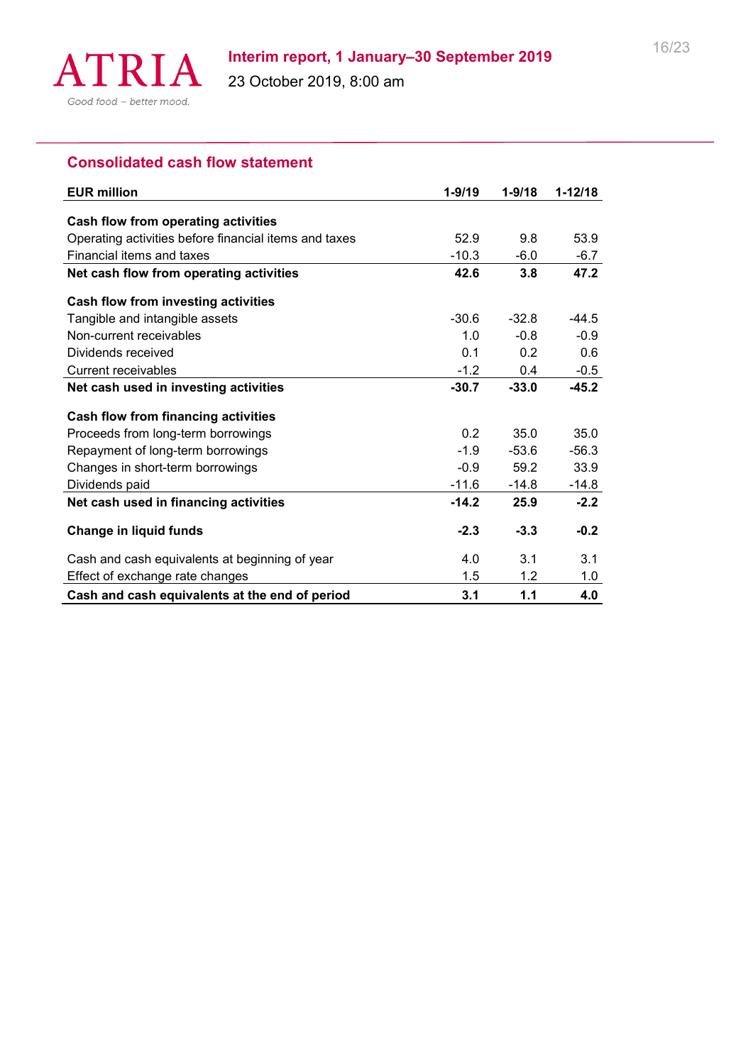

# **Consolidated cash flow statement**

| <b>EUR million</b>                                    | $1 - 9/19$ | $1 - 9/18$ | $1 - 12/18$ |
|-------------------------------------------------------|------------|------------|-------------|
|                                                       |            |            |             |
| Cash flow from operating activities                   |            |            |             |
| Operating activities before financial items and taxes | 52.9       | 9.8        | 53.9        |
| Financial items and taxes                             | $-10.3$    | $-6.0$     | $-6.7$      |
| Net cash flow from operating activities               | 42.6       | 3.8        | 47.2        |
| Cash flow from investing activities                   |            |            |             |
| Tangible and intangible assets                        | $-30.6$    | $-32.8$    | $-44.5$     |
| Non-current receivables                               | 1.0        | $-0.8$     | $-0.9$      |
| Dividends received                                    | 0.1        | 0.2        | 0.6         |
| Current receivables                                   | $-1.2$     | 0.4        | $-0.5$      |
| Net cash used in investing activities                 | $-30.7$    | $-33.0$    | $-45.2$     |
| Cash flow from financing activities                   |            |            |             |
| Proceeds from long-term borrowings                    | 0.2        | 35.0       | 35.0        |
| Repayment of long-term borrowings                     | $-1.9$     | $-53.6$    | $-56.3$     |
| Changes in short-term borrowings                      | $-0.9$     | 59.2       | 33.9        |
| Dividends paid                                        | $-11.6$    | $-14.8$    | $-14.8$     |
| Net cash used in financing activities                 | $-14.2$    | 25.9       | $-2.2$      |
| Change in liquid funds                                | $-2.3$     | $-3.3$     | $-0.2$      |
| Cash and cash equivalents at beginning of year        | 4.0        | 3.1        | 3.1         |
| Effect of exchange rate changes                       | 1.5        | 1.2        | 1.0         |
| Cash and cash equivalents at the end of period        | 3.1        | 1.1        | 4.0         |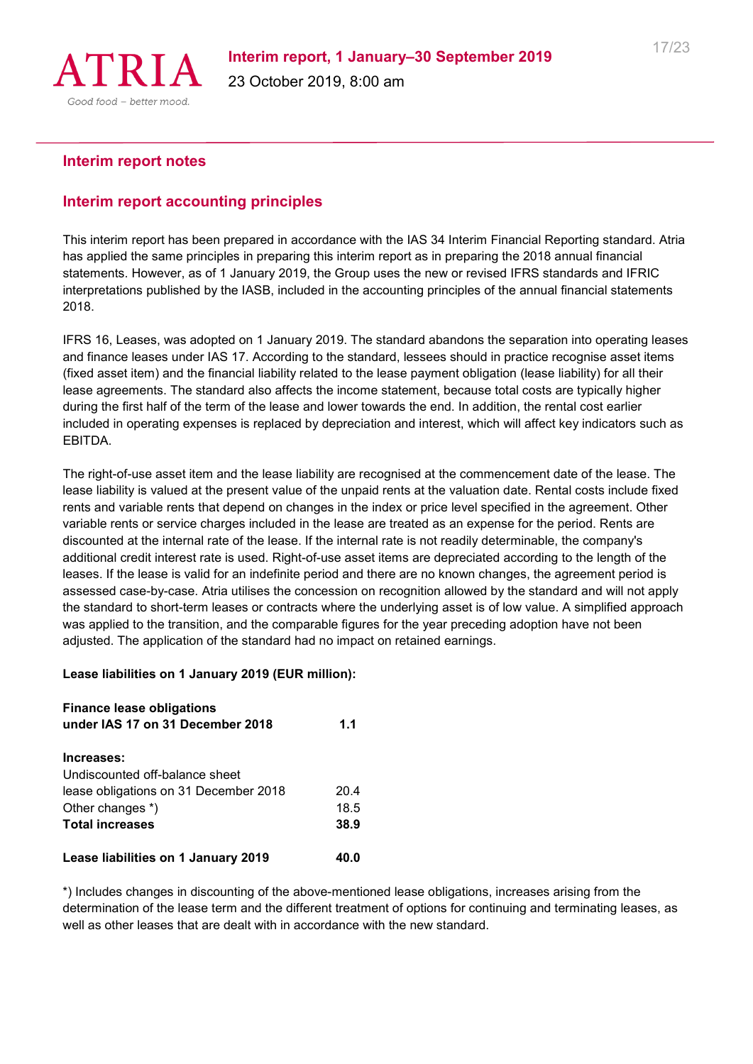

#### **Interim report notes**

#### **Interim report accounting principles**

This interim report has been prepared in accordance with the IAS 34 Interim Financial Reporting standard. Atria has applied the same principles in preparing this interim report as in preparing the 2018 annual financial statements. However, as of 1 January 2019, the Group uses the new or revised IFRS standards and IFRIC interpretations published by the IASB, included in the accounting principles of the annual financial statements 2018.

IFRS 16, Leases, was adopted on 1 January 2019. The standard abandons the separation into operating leases and finance leases under IAS 17. According to the standard, lessees should in practice recognise asset items (fixed asset item) and the financial liability related to the lease payment obligation (lease liability) for all their lease agreements. The standard also affects the income statement, because total costs are typically higher during the first half of the term of the lease and lower towards the end. In addition, the rental cost earlier included in operating expenses is replaced by depreciation and interest, which will affect key indicators such as EBITDA.

The right-of-use asset item and the lease liability are recognised at the commencement date of the lease. The lease liability is valued at the present value of the unpaid rents at the valuation date. Rental costs include fixed rents and variable rents that depend on changes in the index or price level specified in the agreement. Other variable rents or service charges included in the lease are treated as an expense for the period. Rents are discounted at the internal rate of the lease. If the internal rate is not readily determinable, the company's additional credit interest rate is used. Right-of-use asset items are depreciated according to the length of the leases. If the lease is valid for an indefinite period and there are no known changes, the agreement period is assessed case-by-case. Atria utilises the concession on recognition allowed by the standard and will not apply the standard to short-term leases or contracts where the underlying asset is of low value. A simplified approach was applied to the transition, and the comparable figures for the year preceding adoption have not been adjusted. The application of the standard had no impact on retained earnings.

#### **Lease liabilities on 1 January 2019 (EUR million):**

| <b>Finance lease obligations</b><br>under IAS 17 on 31 December 2018 | 1.1  |
|----------------------------------------------------------------------|------|
| Increases:                                                           |      |
| Undiscounted off-balance sheet                                       |      |
| lease obligations on 31 December 2018                                | 20.4 |
| Other changes *)                                                     | 18.5 |
| <b>Total increases</b>                                               | 38.9 |
| Lease liabilities on 1 January 2019                                  | 40.0 |

\*) Includes changes in discounting of the above-mentioned lease obligations, increases arising from the determination of the lease term and the different treatment of options for continuing and terminating leases, as well as other leases that are dealt with in accordance with the new standard.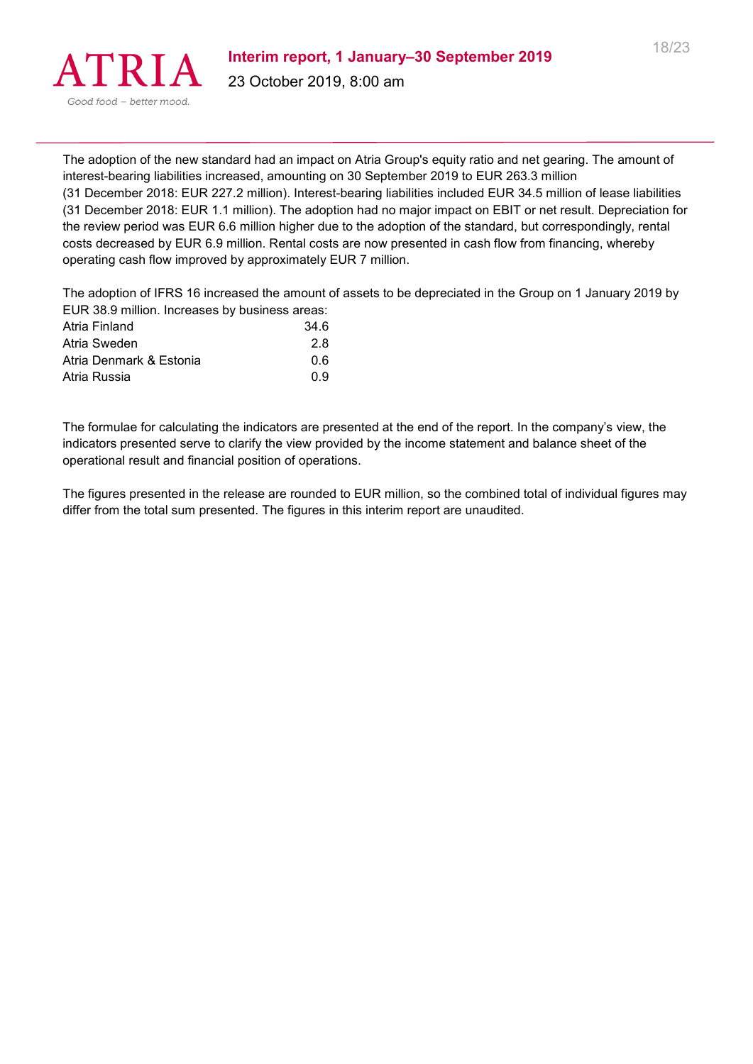

The adoption of the new standard had an impact on Atria Group's equity ratio and net gearing. The amount of interest-bearing liabilities increased, amounting on 30 September 2019 to EUR 263.3 million (31 December 2018: EUR 227.2 million). Interest-bearing liabilities included EUR 34.5 million of lease liabilities (31 December 2018: EUR 1.1 million). The adoption had no major impact on EBIT or net result. Depreciation for the review period was EUR 6.6 million higher due to the adoption of the standard, but correspondingly, rental costs decreased by EUR 6.9 million. Rental costs are now presented in cash flow from financing, whereby operating cash flow improved by approximately EUR 7 million.

The adoption of IFRS 16 increased the amount of assets to be depreciated in the Group on 1 January 2019 by EUR 38.0 million. Increases by business areas:

| LUIN 00.5 MINUME INCREASES DY DUSTIESS ALCAS. |
|-----------------------------------------------|
| 34.6                                          |
| 2.8                                           |
| 0.6                                           |
| በ 9                                           |
|                                               |

The formulae for calculating the indicators are presented at the end of the report. In the company's view, the indicators presented serve to clarify the view provided by the income statement and balance sheet of the operational result and financial position of operations.

The figures presented in the release are rounded to EUR million, so the combined total of individual figures may differ from the total sum presented. The figures in this interim report are unaudited.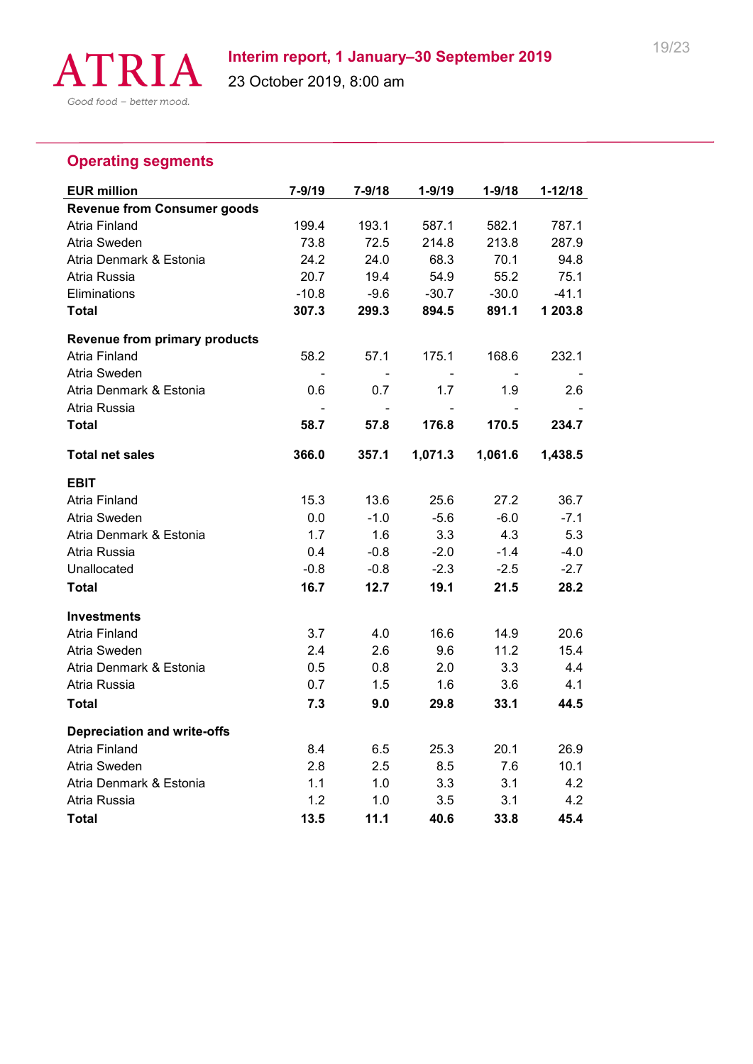

# **Operating segments**

| <b>EUR million</b>                   | $7 - 9/19$ | $7 - 9/18$ | $1 - 9/19$ | $1 - 9/18$ | $1 - 12/18$ |
|--------------------------------------|------------|------------|------------|------------|-------------|
| <b>Revenue from Consumer goods</b>   |            |            |            |            |             |
| <b>Atria Finland</b>                 | 199.4      | 193.1      | 587.1      | 582.1      | 787.1       |
| Atria Sweden                         | 73.8       | 72.5       | 214.8      | 213.8      | 287.9       |
| Atria Denmark & Estonia              | 24.2       | 24.0       | 68.3       | 70.1       | 94.8        |
| Atria Russia                         | 20.7       | 19.4       | 54.9       | 55.2       | 75.1        |
| Eliminations                         | $-10.8$    | $-9.6$     | $-30.7$    | $-30.0$    | $-41.1$     |
| <b>Total</b>                         | 307.3      | 299.3      | 894.5      | 891.1      | 1 203.8     |
| <b>Revenue from primary products</b> |            |            |            |            |             |
| Atria Finland                        | 58.2       | 57.1       | 175.1      | 168.6      | 232.1       |
| Atria Sweden                         |            |            |            |            |             |
| Atria Denmark & Estonia              | 0.6        | 0.7        | 1.7        | 1.9        | 2.6         |
| Atria Russia                         |            |            | -          |            |             |
| <b>Total</b>                         | 58.7       | 57.8       | 176.8      | 170.5      | 234.7       |
| <b>Total net sales</b>               | 366.0      | 357.1      | 1,071.3    | 1,061.6    | 1,438.5     |
| <b>EBIT</b>                          |            |            |            |            |             |
| <b>Atria Finland</b>                 | 15.3       | 13.6       | 25.6       | 27.2       | 36.7        |
| Atria Sweden                         | 0.0        | $-1.0$     | $-5.6$     | $-6.0$     | $-7.1$      |
| Atria Denmark & Estonia              | 1.7        | 1.6        | 3.3        | 4.3        | 5.3         |
| Atria Russia                         | 0.4        | $-0.8$     | $-2.0$     | $-1.4$     | $-4.0$      |
| Unallocated                          | $-0.8$     | $-0.8$     | $-2.3$     | $-2.5$     | $-2.7$      |
| <b>Total</b>                         | 16.7       | 12.7       | 19.1       | 21.5       | 28.2        |
| <b>Investments</b>                   |            |            |            |            |             |
| <b>Atria Finland</b>                 | 3.7        | 4.0        | 16.6       | 14.9       | 20.6        |
| Atria Sweden                         | 2.4        | 2.6        | 9.6        | 11.2       | 15.4        |
| Atria Denmark & Estonia              | 0.5        | 0.8        | 2.0        | 3.3        | 4.4         |
| Atria Russia                         | 0.7        | 1.5        | 1.6        | 3.6        | 4.1         |
| <b>Total</b>                         | 7.3        | 9.0        | 29.8       | 33.1       | 44.5        |
| <b>Depreciation and write-offs</b>   |            |            |            |            |             |
| <b>Atria Finland</b>                 | 8.4        | 6.5        | 25.3       | 20.1       | 26.9        |
| Atria Sweden                         | 2.8        | 2.5        | 8.5        | 7.6        | 10.1        |
| Atria Denmark & Estonia              | 1.1        | 1.0        | 3.3        | 3.1        | 4.2         |
| Atria Russia                         | 1.2        | 1.0        | 3.5        | 3.1        | 4.2         |
| Total                                | 13.5       | 11.1       | 40.6       | 33.8       | 45.4        |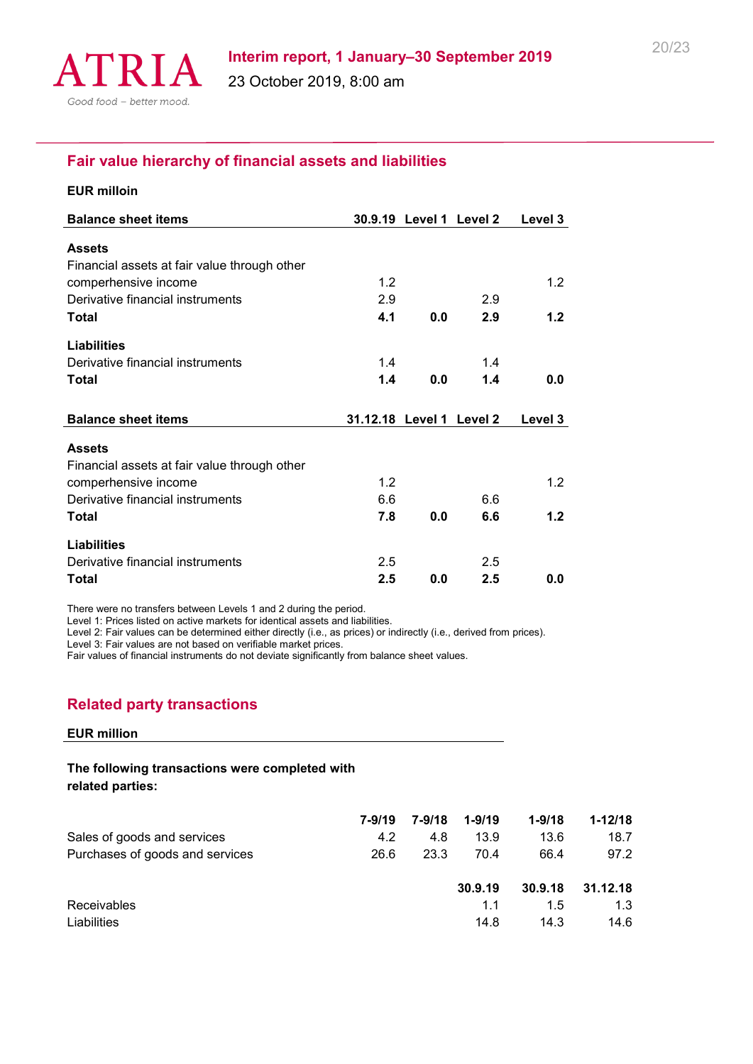

### **Fair value hierarchy of financial assets and liabilities**

| <b>EUR milloin</b>                           |                          |                         |     |         |
|----------------------------------------------|--------------------------|-------------------------|-----|---------|
| <b>Balance sheet items</b>                   |                          | 30.9.19 Level 1 Level 2 |     | Level 3 |
| <b>Assets</b>                                |                          |                         |     |         |
| Financial assets at fair value through other |                          |                         |     |         |
| comperhensive income                         | 1.2                      |                         |     | 1.2     |
| Derivative financial instruments             | 2.9                      |                         | 2.9 |         |
| <b>Total</b>                                 | 4.1                      | 0.0                     | 2.9 | 1.2     |
| <b>Liabilities</b>                           |                          |                         |     |         |
| Derivative financial instruments             | 1.4                      |                         | 1.4 |         |
| Total                                        | 1.4                      | 0.0                     | 1.4 | 0.0     |
|                                              |                          |                         |     |         |
| <b>Balance sheet items</b>                   | 31.12.18 Level 1 Level 2 |                         |     | Level 3 |
| <b>Assets</b>                                |                          |                         |     |         |
| Financial assets at fair value through other |                          |                         |     |         |
| comperhensive income                         | 1.2                      |                         |     | 1.2     |
| Derivative financial instruments             | 6.6                      |                         | 6.6 |         |
| Total                                        | 7.8                      | 0.0                     | 6.6 | 1.2     |
| <b>Liabilities</b>                           |                          |                         |     |         |
|                                              |                          |                         |     |         |
| Derivative financial instruments             | 2.5                      |                         | 2.5 |         |

There were no transfers between Levels 1 and 2 during the period.

Level 1: Prices listed on active markets for identical assets and liabilities.

Level 2: Fair values can be determined either directly (i.e., as prices) or indirectly (i.e., derived from prices).

Level 3: Fair values are not based on verifiable market prices.

Fair values of financial instruments do not deviate significantly from balance sheet values.

#### **Related party transactions**

#### **EUR million**

#### **The following transactions were completed with related parties:**

|                                 | 7-9/19 | 7-9/18 | $1 - 9/19$ | $1 - 9/18$ | $1 - 12/18$ |
|---------------------------------|--------|--------|------------|------------|-------------|
| Sales of goods and services     | 4.2    | 4.8    | 13.9       | 13.6       | 18.7        |
| Purchases of goods and services | 26.6   | 23.3   | 70.4       | 66.4       | 97.2        |
|                                 |        |        | 30.9.19    | 30.9.18    | 31.12.18    |
| Receivables                     |        |        | 1.1        | 1.5        | 1.3         |
| Liabilities                     |        |        | 14.8       | 14.3       | 14.6        |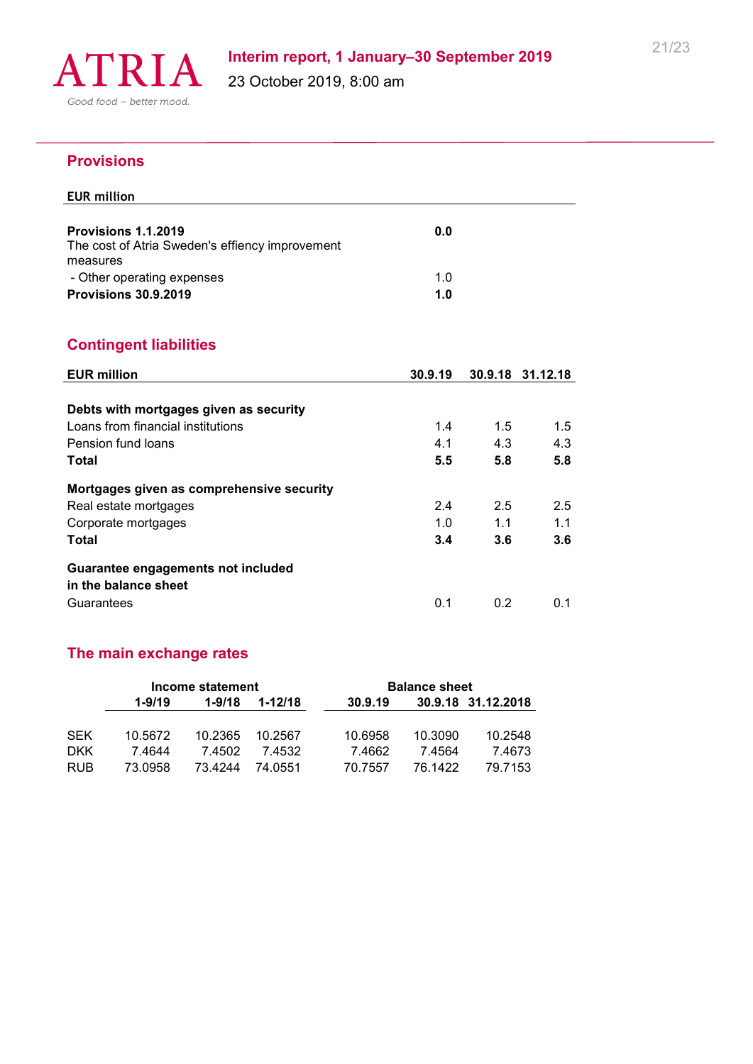

### **Provisions**

# **EUR million Provisions 1.1.2019 0.0** The cost of Atria Sweden's effiency improvement measures - Other operating expenses 1.0 **Provisions 30.9.2019 1.0**

# **Contingent liabilities**

| <b>EUR million</b>                        | 30.9.19 |     | 30.9.18 31.12.18 |
|-------------------------------------------|---------|-----|------------------|
|                                           |         |     |                  |
| Debts with mortgages given as security    |         |     |                  |
| Loans from financial institutions         | 1.4     | 1.5 | 1.5              |
| Pension fund loans                        | 4.1     | 4.3 | 4.3              |
| Total                                     | 5.5     | 5.8 | 5.8              |
| Mortgages given as comprehensive security |         |     |                  |
| Real estate mortgages                     | 2.4     | 2.5 | 2.5              |
| Corporate mortgages                       | 1.0     | 1.1 | 1.1              |
| Total                                     | 3.4     | 3.6 | 3.6              |
| Guarantee engagements not included        |         |     |                  |
| in the balance sheet                      |         |     |                  |
| Guarantees                                | 0.1     | 0.2 | 0.1              |

# **The main exchange rates**

|            |            | Income statement |             |         | <b>Balance sheet</b> |                    |
|------------|------------|------------------|-------------|---------|----------------------|--------------------|
|            | $1 - 9/19$ | $1 - 9/18$       | $1 - 12/18$ | 30.9.19 |                      | 30.9.18 31.12.2018 |
|            |            |                  |             |         |                      |                    |
| <b>SEK</b> | 10.5672    | 10.2365          | 10.2567     | 10.6958 | 10.3090              | 10.2548            |
| <b>DKK</b> | 7.4644     | 7.4502           | 7 4532      | 7.4662  | 7.4564               | 7.4673             |
| <b>RUB</b> | 73.0958    | 73.4244          | 74.0551     | 70.7557 | 76.1422              | 79.7153            |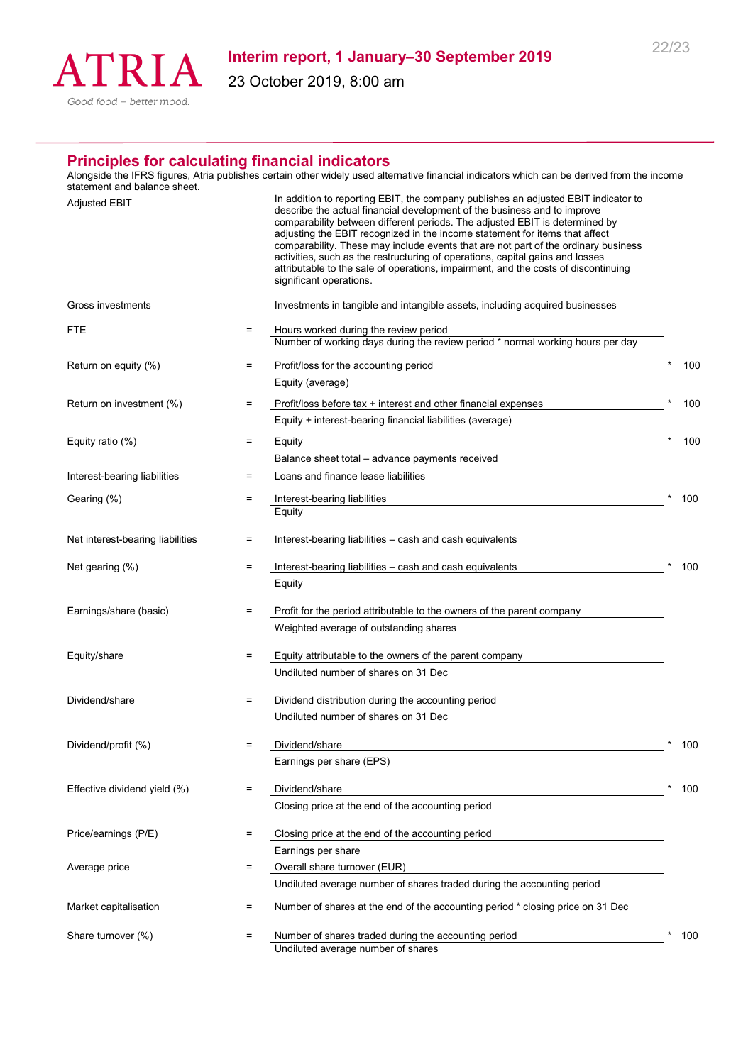

23 October 2019, 8:00 am

#### **Principles for calculating financial indicators**

Alongside the IFRS figures, Atria publishes certain other widely used alternative financial indicators which can be derived from the income statement and balance sheet.

| <b>Adjusted EBIT</b>             |     | In addition to reporting EBIT, the company publishes an adjusted EBIT indicator to<br>describe the actual financial development of the business and to improve<br>comparability between different periods. The adjusted EBIT is determined by<br>adjusting the EBIT recognized in the income statement for items that affect<br>comparability. These may include events that are not part of the ordinary business<br>activities, such as the restructuring of operations, capital gains and losses<br>attributable to the sale of operations, impairment, and the costs of discontinuing<br>significant operations. |     |
|----------------------------------|-----|----------------------------------------------------------------------------------------------------------------------------------------------------------------------------------------------------------------------------------------------------------------------------------------------------------------------------------------------------------------------------------------------------------------------------------------------------------------------------------------------------------------------------------------------------------------------------------------------------------------------|-----|
| Gross investments                |     | Investments in tangible and intangible assets, including acquired businesses                                                                                                                                                                                                                                                                                                                                                                                                                                                                                                                                         |     |
| FTE                              | $=$ | Hours worked during the review period<br>Number of working days during the review period * normal working hours per day                                                                                                                                                                                                                                                                                                                                                                                                                                                                                              |     |
| Return on equity (%)             | =   | Profit/loss for the accounting period                                                                                                                                                                                                                                                                                                                                                                                                                                                                                                                                                                                | 100 |
|                                  |     | Equity (average)                                                                                                                                                                                                                                                                                                                                                                                                                                                                                                                                                                                                     |     |
| Return on investment (%)         | Ξ   | Profit/loss before tax + interest and other financial expenses                                                                                                                                                                                                                                                                                                                                                                                                                                                                                                                                                       | 100 |
|                                  |     | Equity + interest-bearing financial liabilities (average)                                                                                                                                                                                                                                                                                                                                                                                                                                                                                                                                                            |     |
| Equity ratio (%)                 | Ξ   | Equity                                                                                                                                                                                                                                                                                                                                                                                                                                                                                                                                                                                                               | 100 |
|                                  |     | Balance sheet total - advance payments received                                                                                                                                                                                                                                                                                                                                                                                                                                                                                                                                                                      |     |
| Interest-bearing liabilities     | =   | Loans and finance lease liabilities                                                                                                                                                                                                                                                                                                                                                                                                                                                                                                                                                                                  |     |
| Gearing (%)                      | $=$ | Interest-bearing liabilities                                                                                                                                                                                                                                                                                                                                                                                                                                                                                                                                                                                         | 100 |
|                                  |     | Equity                                                                                                                                                                                                                                                                                                                                                                                                                                                                                                                                                                                                               |     |
| Net interest-bearing liabilities | $=$ | Interest-bearing liabilities - cash and cash equivalents                                                                                                                                                                                                                                                                                                                                                                                                                                                                                                                                                             |     |
| Net gearing (%)                  | $=$ | Interest-bearing liabilities - cash and cash equivalents                                                                                                                                                                                                                                                                                                                                                                                                                                                                                                                                                             | 100 |
|                                  |     | Equity                                                                                                                                                                                                                                                                                                                                                                                                                                                                                                                                                                                                               |     |
|                                  |     |                                                                                                                                                                                                                                                                                                                                                                                                                                                                                                                                                                                                                      |     |
| Earnings/share (basic)           | $=$ | Profit for the period attributable to the owners of the parent company                                                                                                                                                                                                                                                                                                                                                                                                                                                                                                                                               |     |
|                                  |     | Weighted average of outstanding shares                                                                                                                                                                                                                                                                                                                                                                                                                                                                                                                                                                               |     |
| Equity/share                     | $=$ | Equity attributable to the owners of the parent company                                                                                                                                                                                                                                                                                                                                                                                                                                                                                                                                                              |     |
|                                  |     | Undiluted number of shares on 31 Dec                                                                                                                                                                                                                                                                                                                                                                                                                                                                                                                                                                                 |     |
|                                  |     |                                                                                                                                                                                                                                                                                                                                                                                                                                                                                                                                                                                                                      |     |
| Dividend/share                   | $=$ | Dividend distribution during the accounting period                                                                                                                                                                                                                                                                                                                                                                                                                                                                                                                                                                   |     |
|                                  |     | Undiluted number of shares on 31 Dec                                                                                                                                                                                                                                                                                                                                                                                                                                                                                                                                                                                 |     |
| Dividend/profit (%)              | Ξ   | Dividend/share                                                                                                                                                                                                                                                                                                                                                                                                                                                                                                                                                                                                       | 100 |
|                                  |     | Earnings per share (EPS)                                                                                                                                                                                                                                                                                                                                                                                                                                                                                                                                                                                             |     |
|                                  |     |                                                                                                                                                                                                                                                                                                                                                                                                                                                                                                                                                                                                                      |     |
| Effective dividend yield (%)     | Ξ   | Dividend/share<br>Closing price at the end of the accounting period                                                                                                                                                                                                                                                                                                                                                                                                                                                                                                                                                  | 100 |
|                                  |     |                                                                                                                                                                                                                                                                                                                                                                                                                                                                                                                                                                                                                      |     |
| Price/earnings (P/E)             | $=$ | Closing price at the end of the accounting period                                                                                                                                                                                                                                                                                                                                                                                                                                                                                                                                                                    |     |
|                                  |     | Earnings per share                                                                                                                                                                                                                                                                                                                                                                                                                                                                                                                                                                                                   |     |
| Average price                    | $=$ | Overall share turnover (EUR)                                                                                                                                                                                                                                                                                                                                                                                                                                                                                                                                                                                         |     |
|                                  |     | Undiluted average number of shares traded during the accounting period                                                                                                                                                                                                                                                                                                                                                                                                                                                                                                                                               |     |
| Market capitalisation            | $=$ | Number of shares at the end of the accounting period * closing price on 31 Dec                                                                                                                                                                                                                                                                                                                                                                                                                                                                                                                                       |     |
| Share turnover (%)               | $=$ | Number of shares traded during the accounting period                                                                                                                                                                                                                                                                                                                                                                                                                                                                                                                                                                 | 100 |
|                                  |     | Undiluted average number of shares                                                                                                                                                                                                                                                                                                                                                                                                                                                                                                                                                                                   |     |